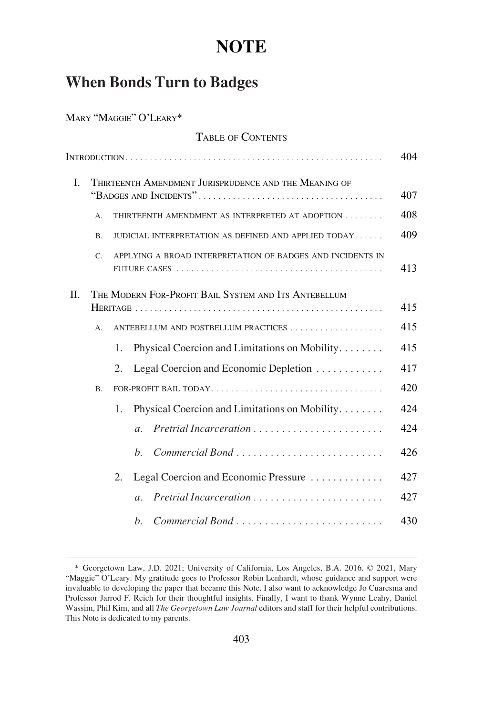# **NOTE**

## **When Bonds Turn to Badges**

MARY "MAGGIE" O'LEARY\*

|         |                | <b>TABLE OF CONTENTS</b>                                   |     |
|---------|----------------|------------------------------------------------------------|-----|
|         |                |                                                            | 404 |
| L.      |                | THIRTEENTH AMENDMENT JURISPRUDENCE AND THE MEANING OF      | 407 |
|         | $\mathsf{A}$ . | THIRTEENTH AMENDMENT AS INTERPRETED AT ADOPTION            | 408 |
|         | B <sub>1</sub> | JUDICIAL INTERPRETATION AS DEFINED AND APPLIED TODAY       | 409 |
|         | $C_{\cdot}$    | APPLYING A BROAD INTERPRETATION OF BADGES AND INCIDENTS IN | 413 |
| $\Pi$ . |                | THE MODERN FOR-PROFIT BAIL SYSTEM AND ITS ANTEBELLUM       | 415 |
|         | $A_{n}$        | ANTEBELLUM AND POSTBELLUM PRACTICES                        | 415 |
|         |                | Physical Coercion and Limitations on Mobility<br>1.        | 415 |
|         |                | $\overline{2}$ .<br>Legal Coercion and Economic Depletion  | 417 |
|         | <b>B.</b>      |                                                            | 420 |
|         |                | Physical Coercion and Limitations on Mobility<br>1.        | 424 |
|         |                | $\overline{a}$ .                                           | 424 |
|         |                | Commercial Bond<br>$h_{\cdot}$                             | 426 |
|         |                | Legal Coercion and Economic Pressure<br>2.                 | 427 |
|         |                | $\mathfrak{a}$ .                                           | 427 |
|         |                | $h_{\cdot}$                                                | 430 |

<sup>\*</sup> Georgetown Law, J.D. 2021; University of California, Los Angeles, B.A. 2016. © 2021, Mary "Maggie" O'Leary. My gratitude goes to Professor Robin Lenhardt, whose guidance and support were invaluable to developing the paper that became this Note. I also want to acknowledge Jo Cuaresma and Professor Jarrod F. Reich for their thoughtful insights. Finally, I want to thank Wynne Leahy, Daniel Wassim, Phil Kim, and all *The Georgetown Law Journal* editors and staff for their helpful contributions. This Note is dedicated to my parents.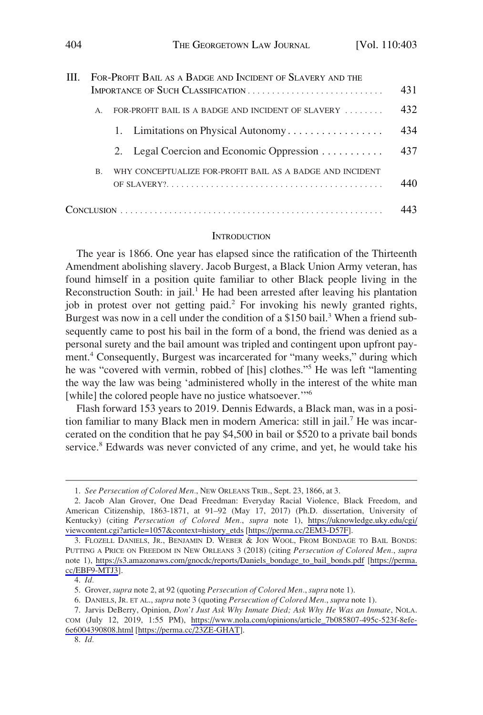<span id="page-1-0"></span>

| III. | FOR-PROFIT BAIL AS A BADGE AND INCIDENT OF SLAVERY AND THE |                                                           |     |  |
|------|------------------------------------------------------------|-----------------------------------------------------------|-----|--|
|      |                                                            |                                                           | 431 |  |
|      | $\mathsf{A}$                                               | FOR-PROFIT BAIL IS A BADGE AND INCIDENT OF SLAVERY        | 432 |  |
|      |                                                            | 1. Limitations on Physical Autonomy                       | 434 |  |
|      |                                                            | 2. Legal Coercion and Economic Oppression                 | 437 |  |
|      | $\mathbf{B}$                                               | WHY CONCEPTUALIZE FOR-PROFIT BAIL AS A BADGE AND INCIDENT | 440 |  |
|      |                                                            |                                                           |     |  |

#### **INTRODUCTION**

The year is 1866. One year has elapsed since the ratification of the Thirteenth Amendment abolishing slavery. Jacob Burgest, a Black Union Army veteran, has found himself in a position quite familiar to other Black people living in the Reconstruction South: in jail.<sup>1</sup> He had been arrested after leaving his plantation job in protest over not getting paid.<sup>2</sup> For invoking his newly granted rights, Burgest was now in a cell under the condition of a \$150 bail.<sup>3</sup> When a friend subsequently came to post his bail in the form of a bond, the friend was denied as a personal surety and the bail amount was tripled and contingent upon upfront payment.4 Consequently, Burgest was incarcerated for "many weeks," during which he was "covered with vermin, robbed of [his] clothes."5 He was left "lamenting the way the law was being 'administered wholly in the interest of the white man [while] the colored people have no justice whatsoever."<sup>6</sup>

Flash forward 153 years to 2019. Dennis Edwards, a Black man, was in a position familiar to many Black men in modern America: still in jail.<sup>7</sup> He was incarcerated on the condition that he pay \$4,500 in bail or \$520 to a private bail bonds service.<sup>8</sup> Edwards was never convicted of any crime, and yet, he would take his

<sup>1.</sup> *See Persecution of Colored Men.*, NEW ORLEANS TRIB., Sept. 23, 1866, at 3.

<sup>2.</sup> Jacob Alan Grover, One Dead Freedman: Everyday Racial Violence, Black Freedom, and American Citizenship, 1863-1871, at 91–92 (May 17, 2017) (Ph.D. dissertation, University of Kentucky) (citing *Persecution of Colored Men.*, *supra* note 1), [https://uknowledge.uky.edu/cgi/](https://uknowledge.uky.edu/cgi/viewcontent.cgi?article=1057&context=history_etds)  [viewcontent.cgi?article=1057&context=history\\_etds](https://uknowledge.uky.edu/cgi/viewcontent.cgi?article=1057&context=history_etds) [\[https://perma.cc/2EM3-D57F\]](https://perma.cc/2EM3-D57F).

<sup>3.</sup> FLOZELL DANIELS, JR., BENJAMIN D. WEBER & JON WOOL, FROM BONDAGE TO BAIL BONDS: PUTTING A PRICE ON FREEDOM IN NEW ORLEANS 3 (2018) (citing *Persecution of Colored Men.*, *supra*  note 1), [https://s3.amazonaws.com/gnocdc/reports/Daniels\\_bondage\\_to\\_bail\\_bonds.pdf](https://s3.amazonaws.com/gnocdc/reports/Daniels_bondage_to_bail_bonds.pdf) [[https://perma.](https://perma.cc/EBF9-MTJ3)  [cc/EBF9-MTJ3\]](https://perma.cc/EBF9-MTJ3).

<sup>4.</sup> *Id.* 

<sup>5.</sup> Grover, *supra* note 2, at 92 (quoting *Persecution of Colored Men.*, *supra* note 1).

<sup>6.</sup> DANIELS, JR. ET AL., *supra* note 3 (quoting *Persecution of Colored Men.*, *supra* note 1).

<sup>7.</sup> Jarvis DeBerry, Opinion, *Don't Just Ask Why Inmate Died; Ask Why He Was an Inmate*, NOLA.

COM (July 12, 2019, 1:55 PM), [https://www.nola.com/opinions/article\\_7b085807-495c-523f-8efe-](https://www.nola.com/opinions/article_7b085807-495c-523f-8efe-6e6004390808.html)[6e6004390808.html](https://www.nola.com/opinions/article_7b085807-495c-523f-8efe-6e6004390808.html) [\[https://perma.cc/23ZE-GHAT\]](https://perma.cc/23ZE-GHAT).

<sup>8.</sup> *Id.*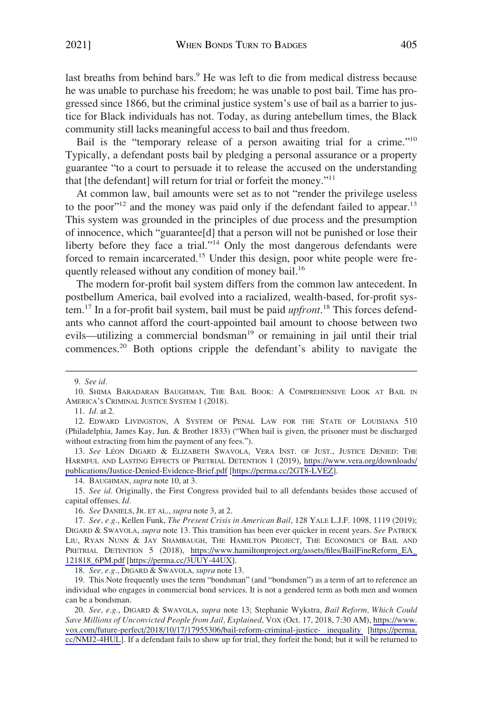last breaths from behind bars.<sup>9</sup> He was left to die from medical distress because he was unable to purchase his freedom; he was unable to post bail. Time has progressed since 1866, but the criminal justice system's use of bail as a barrier to justice for Black individuals has not. Today, as during antebellum times, the Black community still lacks meaningful access to bail and thus freedom.

Bail is the "temporary release of a person awaiting trial for a crime."<sup>10</sup> Typically, a defendant posts bail by pledging a personal assurance or a property guarantee "to a court to persuade it to release the accused on the understanding that [the defendant] will return for trial or forfeit the money."<sup>11</sup>

At common law, bail amounts were set as to not "render the privilege useless to the poor"<sup>12</sup> and the money was paid only if the defendant failed to appear.<sup>13</sup> This system was grounded in the principles of due process and the presumption of innocence, which "guarantee[d] that a person will not be punished or lose their liberty before they face a trial."<sup>14</sup> Only the most dangerous defendants were forced to remain incarcerated.<sup>15</sup> Under this design, poor white people were frequently released without any condition of money bail.<sup>16</sup>

The modern for-profit bail system differs from the common law antecedent. In postbellum America, bail evolved into a racialized, wealth-based, for-profit system.17 In a for-profit bail system, bail must be paid *upfront*. 18 This forces defendants who cannot afford the court-appointed bail amount to choose between two evils—utilizing a commercial bondsman $19$  or remaining in jail until their trial commences.<sup>20</sup> Both options cripple the defendant's ability to navigate the

13. See LÉON DIGARD & ELIZABETH SWAVOLA, VERA INST. OF JUST., JUSTICE DENIED: THE HARMFUL AND LASTING EFFECTS OF PRETRIAL DETENTION 1 (2019), [https://www.vera.org/downloads/](https://www.vera.org/downloads/publications/Justice-Denied-Evidence-Brief.pdf)  [publications/Justice-Denied-Evidence-Brief.pdf](https://www.vera.org/downloads/publications/Justice-Denied-Evidence-Brief.pdf) [<https://perma.cc/2GT8-LVEZ>].

14. BAUGHMAN, *supra* note 10, at 3.

15. *See id.* Originally, the First Congress provided bail to all defendants besides those accused of capital offenses. *Id.* 

16. *See* DANIELS, JR. ET AL., *supra* note 3, at 2.

*See, e.g.*, Kellen Funk, *The Present Crisis in American Bail*, 128 YALE L.J.F. 1098, 1119 (2019); 17. DIGARD & SWAVOLA, *supra* note 13. This transition has been ever quicker in recent years. *See* PATRICK LIU, RYAN NUNN & JAY SHAMBAUGH, THE HAMILTON PROJECT, THE ECONOMICS OF BAIL AND PRETRIAL DETENTION 5 (2018), [https://www.hamiltonproject.org/assets/files/BailFineReform\\_EA\\_](https://www.hamiltonproject.org/assets/files/BailFineReform_EA_121818_6PM.pdf)  [121818\\_6PM.pdf](https://www.hamiltonproject.org/assets/files/BailFineReform_EA_121818_6PM.pdf) [\[https://perma.cc/3UUY-44UX\]](https://perma.cc/3UUY-44UX).

18. *See, e.g.*, DIGARD & SWAVOLA, *supra* note 13.

19. This Note frequently uses the term "bondsman" (and "bondsmen") as a term of art to reference an individual who engages in commercial bond services. It is not a gendered term as both men and women can be a bondsman.

*See, e.g.*, DIGARD & SWAVOLA, *supra* note 13; Stephanie Wykstra, *Bail Reform, Which Could*  20. *Save Millions of Unconvicted People from Jail, Explained*, VOX (Oct. 17, 2018, 7:30 AM), [https://www.](https://www.vox.com/future-perfect/2018/10/17/17955306/bail-reform-criminal-justice-inequality)  [vox.com/future-perfect/2018/10/17/17955306/bail-reform-criminal-justice- inequality](https://www.vox.com/future-perfect/2018/10/17/17955306/bail-reform-criminal-justice-inequality) [[https://perma.](https://perma.cc/NMJ2-4HUL)  [cc/NMJ2-4HUL\]](https://perma.cc/NMJ2-4HUL). If a defendant fails to show up for trial, they forfeit the bond; but it will be returned to

<sup>9.</sup> *See id.* 

<sup>10.</sup> SHIMA BARADARAN BAUGHMAN, THE BAIL BOOK: A COMPREHENSIVE LOOK AT BAIL IN AMERICA'S CRIMINAL JUSTICE SYSTEM 1 (2018).

<sup>11.</sup> *Id.* at 2.

<sup>12.</sup> EDWARD LIVINGSTON, A SYSTEM OF PENAL LAW FOR THE STATE OF LOUISIANA 510 (Philadelphia, James Kay, Jun. & Brother 1833) ("When bail is given, the prisoner must be discharged without extracting from him the payment of any fees.").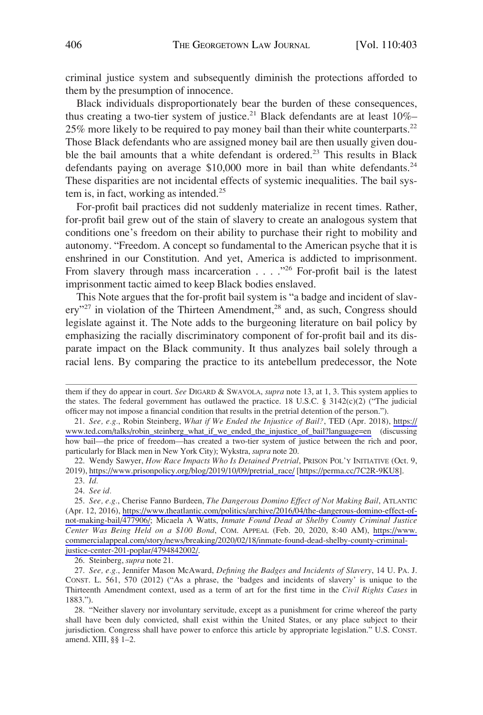criminal justice system and subsequently diminish the protections afforded to them by the presumption of innocence.

Black individuals disproportionately bear the burden of these consequences, thus creating a two-tier system of justice.<sup>21</sup> Black defendants are at least  $10\%$ -25% more likely to be required to pay money bail than their white counterparts.<sup>22</sup> Those Black defendants who are assigned money bail are then usually given double the bail amounts that a white defendant is ordered.<sup>23</sup> This results in Black defendants paying on average \$10,000 more in bail than white defendants.<sup>24</sup> These disparities are not incidental effects of systemic inequalities. The bail system is, in fact, working as intended. $^{25}$ 

For-profit bail practices did not suddenly materialize in recent times. Rather, for-profit bail grew out of the stain of slavery to create an analogous system that conditions one's freedom on their ability to purchase their right to mobility and autonomy. "Freedom. A concept so fundamental to the American psyche that it is enshrined in our Constitution. And yet, America is addicted to imprisonment. From slavery through mass incarceration  $\ldots$  . . . . <sup>226</sup> For-profit bail is the latest imprisonment tactic aimed to keep Black bodies enslaved.

This Note argues that the for-profit bail system is "a badge and incident of slavery"<sup>27</sup> in violation of the Thirteen Amendment,<sup>28</sup> and, as such, Congress should legislate against it. The Note adds to the burgeoning literature on bail policy by emphasizing the racially discriminatory component of for-profit bail and its disparate impact on the Black community. It thus analyzes bail solely through a racial lens. By comparing the practice to its antebellum predecessor, the Note

24. *See id.* 

26. Steinberg, *supra* note 21.

27. *See, e.g.*, Jennifer Mason McAward, *Defining the Badges and Incidents of Slavery*, 14 U. PA. J. CONST. L. 561, 570 (2012) ("As a phrase, the 'badges and incidents of slavery' is unique to the Thirteenth Amendment context, used as a term of art for the first time in the *Civil Rights Cases* in 1883.").

28. "Neither slavery nor involuntary servitude, except as a punishment for crime whereof the party shall have been duly convicted, shall exist within the United States, or any place subject to their jurisdiction. Congress shall have power to enforce this article by appropriate legislation." U.S. CONST. amend. XIII, §§ 1–2.

them if they do appear in court. *See* DIGARD & SWAVOLA, *supra* note 13, at 1, 3. This system applies to the states. The federal government has outlawed the practice. 18 U.S.C.  $\S$  3142(c)(2) ("The judicial officer may not impose a financial condition that results in the pretrial detention of the person.").

*See, e.g.*, Robin Steinberg, *What if We Ended the Injustice of Bail?*, TED (Apr. 2018), [https://](https://www.ted.com/talks/robin_steinberg_what_if_we_ended_the_injustice_of_bail?language=en)  21. [www.ted.com/talks/robin\\_steinberg\\_what\\_if\\_we\\_ended\\_the\\_injustice\\_of\\_bail?language=en](https://www.ted.com/talks/robin_steinberg_what_if_we_ended_the_injustice_of_bail?language=en) (discussing how bail—the price of freedom—has created a two-tier system of justice between the rich and poor, particularly for Black men in New York City); Wykstra, *supra* note 20.

<sup>22.</sup> Wendy Sawyer, *How Race Impacts Who Is Detained Pretrial*, PRISON POL'Y INITIATIVE (Oct. 9, 2019), [https://www.prisonpolicy.org/blog/2019/10/09/pretrial\\_race/](https://www.prisonpolicy.org/blog/2019/10/09/pretrial_race/) [\[https://perma.cc/7C2R-9KU8\]](https://perma.cc/7C2R-9KU8).

<sup>23.</sup> *Id.* 

*See, e.g.*, Cherise Fanno Burdeen, *The Dangerous Domino Effect of Not Making Bail*, ATLANTIC 25. (Apr. 12, 2016), [https://www.theatlantic.com/politics/archive/2016/04/the-dangerous-domino-effect-of](https://www.theatlantic.com/politics/archive/2016/04/the-dangerous-domino-effect-of-not-making-bail/477906/)[not-making-bail/477906/](https://www.theatlantic.com/politics/archive/2016/04/the-dangerous-domino-effect-of-not-making-bail/477906/); Micaela A Watts, *Inmate Found Dead at Shelby County Criminal Justice Center Was Being Held on a \$100 Bond*, COM. APPEAL (Feb. 20, 2020, 8:40 AM), [https://www.](https://www.commercialappeal.com/story/news/breaking/2020/02/18/inmate-found-dead-shelby-county-criminal-justice-center-201-poplar/4794842002/)  [commercialappeal.com/story/news/breaking/2020/02/18/inmate-found-dead-shelby-county-criminal](https://www.commercialappeal.com/story/news/breaking/2020/02/18/inmate-found-dead-shelby-county-criminal-justice-center-201-poplar/4794842002/)[justice-center-201-poplar/4794842002/.](https://www.commercialappeal.com/story/news/breaking/2020/02/18/inmate-found-dead-shelby-county-criminal-justice-center-201-poplar/4794842002/)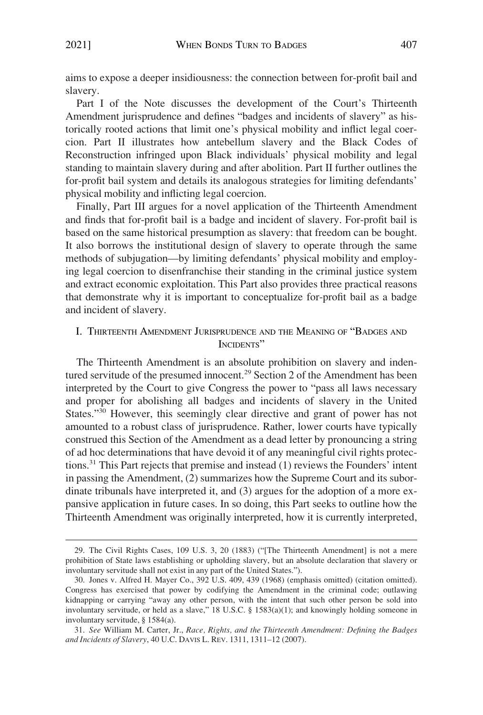<span id="page-4-0"></span>aims to expose a deeper insidiousness: the connection between for-profit bail and slavery.

Part I of the Note discusses the development of the Court's Thirteenth Amendment jurisprudence and defines "badges and incidents of slavery" as historically rooted actions that limit one's physical mobility and inflict legal coercion. Part II illustrates how antebellum slavery and the Black Codes of Reconstruction infringed upon Black individuals' physical mobility and legal standing to maintain slavery during and after abolition. Part II further outlines the for-profit bail system and details its analogous strategies for limiting defendants' physical mobility and inflicting legal coercion.

Finally, Part III argues for a novel application of the Thirteenth Amendment and finds that for-profit bail is a badge and incident of slavery. For-profit bail is based on the same historical presumption as slavery: that freedom can be bought. It also borrows the institutional design of slavery to operate through the same methods of subjugation—by limiting defendants' physical mobility and employing legal coercion to disenfranchise their standing in the criminal justice system and extract economic exploitation. This Part also provides three practical reasons that demonstrate why it is important to conceptualize for-profit bail as a badge and incident of slavery.

## I. THIRTEENTH AMENDMENT JURISPRUDENCE AND THE MEANING OF "BADGES AND INCIDENTS"

The Thirteenth Amendment is an absolute prohibition on slavery and indentured servitude of the presumed innocent.<sup>29</sup> Section 2 of the Amendment has been interpreted by the Court to give Congress the power to "pass all laws necessary and proper for abolishing all badges and incidents of slavery in the United States."<sup>30</sup> However, this seemingly clear directive and grant of power has not amounted to a robust class of jurisprudence. Rather, lower courts have typically construed this Section of the Amendment as a dead letter by pronouncing a string of ad hoc determinations that have devoid it of any meaningful civil rights protections.31 This Part rejects that premise and instead (1) reviews the Founders' intent in passing the Amendment, (2) summarizes how the Supreme Court and its subordinate tribunals have interpreted it, and (3) argues for the adoption of a more expansive application in future cases. In so doing, this Part seeks to outline how the Thirteenth Amendment was originally interpreted, how it is currently interpreted,

<sup>29.</sup> The Civil Rights Cases, 109 U.S. 3, 20 (1883) ("[The Thirteenth Amendment] is not a mere prohibition of State laws establishing or upholding slavery, but an absolute declaration that slavery or involuntary servitude shall not exist in any part of the United States.").

<sup>30.</sup> Jones v. Alfred H. Mayer Co., 392 U.S. 409, 439 (1968) (emphasis omitted) (citation omitted). Congress has exercised that power by codifying the Amendment in the criminal code; outlawing kidnapping or carrying "away any other person, with the intent that such other person be sold into involuntary servitude, or held as a slave," 18 U.S.C. § 1583(a)(1); and knowingly holding someone in involuntary servitude, § 1584(a).

<sup>31.</sup> *See* William M. Carter, Jr., *Race, Rights, and the Thirteenth Amendment: Defining the Badges and Incidents of Slavery*, 40 U.C. DAVIS L. REV. 1311, 1311–12 (2007).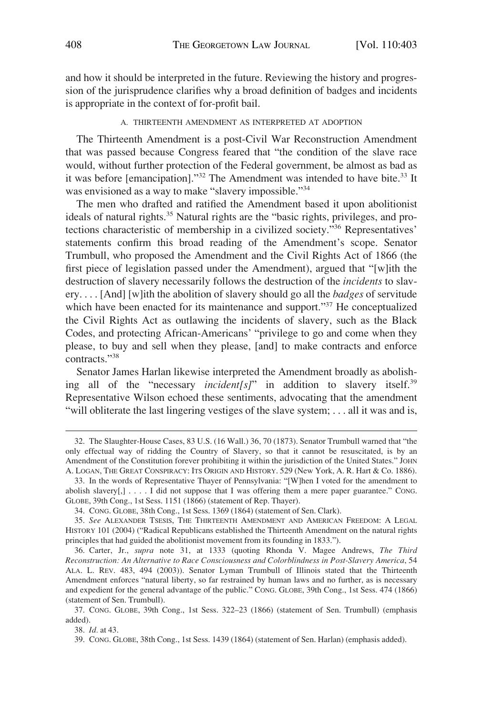<span id="page-5-0"></span>and how it should be interpreted in the future. Reviewing the history and progression of the jurisprudence clarifies why a broad definition of badges and incidents is appropriate in the context of for-profit bail.

#### A. THIRTEENTH AMENDMENT AS INTERPRETED AT ADOPTION

The Thirteenth Amendment is a post-Civil War Reconstruction Amendment that was passed because Congress feared that "the condition of the slave race would, without further protection of the Federal government, be almost as bad as it was before [emancipation]."<sup>32</sup> The Amendment was intended to have bite.<sup>33</sup> It was envisioned as a way to make "slavery impossible."<sup>34</sup>

The men who drafted and ratified the Amendment based it upon abolitionist ideals of natural rights.<sup>35</sup> Natural rights are the "basic rights, privileges, and protections characteristic of membership in a civilized society."36 Representatives' statements confirm this broad reading of the Amendment's scope. Senator Trumbull, who proposed the Amendment and the Civil Rights Act of 1866 (the first piece of legislation passed under the Amendment), argued that "[w]ith the destruction of slavery necessarily follows the destruction of the *incidents* to slavery. . . . [And] [w]ith the abolition of slavery should go all the *badges* of servitude which have been enacted for its maintenance and support."<sup>37</sup> He conceptualized the Civil Rights Act as outlawing the incidents of slavery, such as the Black Codes, and protecting African-Americans' "privilege to go and come when they please, to buy and sell when they please, [and] to make contracts and enforce contracts."<sup>38</sup>

Senator James Harlan likewise interpreted the Amendment broadly as abolishing all of the "necessary *incident[s]*" in addition to slavery itself.<sup>39</sup> Representative Wilson echoed these sentiments, advocating that the amendment "will obliterate the last lingering vestiges of the slave system; ... all it was and is,

38. *Id.* at 43.

<sup>32.</sup> The Slaughter-House Cases, 83 U.S. (16 Wall.) 36, 70 (1873). Senator Trumbull warned that "the only effectual way of ridding the Country of Slavery, so that it cannot be resuscitated, is by an Amendment of the Constitution forever prohibiting it within the jurisdiction of the United States." JOHN A. LOGAN, THE GREAT CONSPIRACY: ITS ORIGIN AND HISTORY. 529 (New York, A. R. Hart & Co. 1886).

<sup>33.</sup> In the words of Representative Thayer of Pennsylvania: "[W]hen I voted for the amendment to abolish slavery $[ , ]$ .... I did not suppose that I was offering them a mere paper guarantee." Cong. GLOBE, 39th Cong., 1st Sess. 1151 (1866) (statement of Rep. Thayer).

<sup>34.</sup> CONG. GLOBE, 38th Cong., 1st Sess. 1369 (1864) (statement of Sen. Clark).

<sup>35.</sup> *See* ALEXANDER TSESIS, THE THIRTEENTH AMENDMENT AND AMERICAN FREEDOM: A LEGAL HISTORY 101 (2004) ("Radical Republicans established the Thirteenth Amendment on the natural rights principles that had guided the abolitionist movement from its founding in 1833.").

<sup>36.</sup> Carter, Jr., *supra* note 31, at 1333 (quoting Rhonda V. Magee Andrews, *The Third Reconstruction: An Alternative to Race Consciousness and Colorblindness in Post-Slavery America*, 54 ALA. L. REV. 483, 494 (2003)). Senator Lyman Trumbull of Illinois stated that the Thirteenth Amendment enforces "natural liberty, so far restrained by human laws and no further, as is necessary and expedient for the general advantage of the public." CONG. GLOBE, 39th Cong., 1st Sess. 474 (1866) (statement of Sen. Trumbull).

<sup>37.</sup> CONG. GLOBE, 39th Cong., 1st Sess. 322–23 (1866) (statement of Sen. Trumbull) (emphasis added).

<sup>39.</sup> CONG. GLOBE, 38th Cong., 1st Sess. 1439 (1864) (statement of Sen. Harlan) (emphasis added).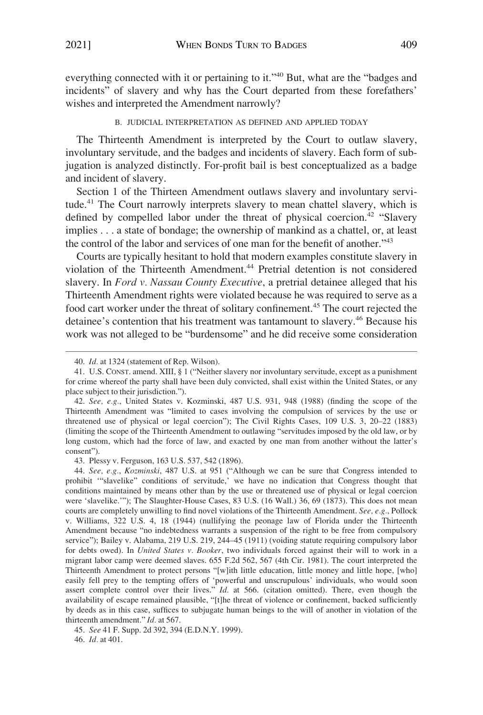<span id="page-6-0"></span>everything connected with it or pertaining to it."40 But, what are the "badges and incidents" of slavery and why has the Court departed from these forefathers' wishes and interpreted the Amendment narrowly?

B. JUDICIAL INTERPRETATION AS DEFINED AND APPLIED TODAY

The Thirteenth Amendment is interpreted by the Court to outlaw slavery, involuntary servitude, and the badges and incidents of slavery. Each form of subjugation is analyzed distinctly. For-profit bail is best conceptualized as a badge and incident of slavery.

Section 1 of the Thirteen Amendment outlaws slavery and involuntary servitude.<sup>41</sup> The Court narrowly interprets slavery to mean chattel slavery, which is defined by compelled labor under the threat of physical coercion.<sup>42</sup> "Slavery implies . . . a state of bondage; the ownership of mankind as a chattel, or, at least the control of the labor and services of one man for the benefit of another."<sup>43</sup>

Courts are typically hesitant to hold that modern examples constitute slavery in violation of the Thirteenth Amendment.<sup>44</sup> Pretrial detention is not considered slavery. In *Ford v. Nassau County Executive*, a pretrial detainee alleged that his Thirteenth Amendment rights were violated because he was required to serve as a food cart worker under the threat of solitary confinement.45 The court rejected the detainee's contention that his treatment was tantamount to slavery.<sup>46</sup> Because his work was not alleged to be "burdensome" and he did receive some consideration

43. Plessy v. Ferguson, 163 U.S. 537, 542 (1896).

46. *Id.* at 401.

<sup>40.</sup> *Id.* at 1324 (statement of Rep. Wilson).

<sup>41.</sup> U.S. CONST. amend. XIII, § 1 ("Neither slavery nor involuntary servitude, except as a punishment for crime whereof the party shall have been duly convicted, shall exist within the United States, or any place subject to their jurisdiction.").

<sup>42.</sup> *See, e.g.*, United States v. Kozminski, 487 U.S. 931, 948 (1988) (finding the scope of the Thirteenth Amendment was "limited to cases involving the compulsion of services by the use or threatened use of physical or legal coercion"); The Civil Rights Cases, 109 U.S. 3, 20–22 (1883) (limiting the scope of the Thirteenth Amendment to outlawing "servitudes imposed by the old law, or by long custom, which had the force of law, and exacted by one man from another without the latter's consent").

<sup>44.</sup> *See, e.g.*, *Kozminski*, 487 U.S. at 951 ("Although we can be sure that Congress intended to prohibit '"slavelike" conditions of servitude,' we have no indication that Congress thought that conditions maintained by means other than by the use or threatened use of physical or legal coercion were 'slavelike.'"); The Slaughter-House Cases, 83 U.S. (16 Wall.) 36, 69 (1873). This does not mean courts are completely unwilling to find novel violations of the Thirteenth Amendment. *See, e.g.*, Pollock v. Williams, 322 U.S. 4, 18 (1944) (nullifying the peonage law of Florida under the Thirteenth Amendment because "no indebtedness warrants a suspension of the right to be free from compulsory service"); Bailey v. Alabama, 219 U.S. 219, 244–45 (1911) (voiding statute requiring compulsory labor for debts owed). In *United States v. Booker*, two individuals forced against their will to work in a migrant labor camp were deemed slaves. 655 F.2d 562, 567 (4th Cir. 1981). The court interpreted the Thirteenth Amendment to protect persons "[w]ith little education, little money and little hope, [who] easily fell prey to the tempting offers of 'powerful and unscrupulous' individuals, who would soon assert complete control over their lives." *Id.* at 566. (citation omitted). There, even though the availability of escape remained plausible, "[t]he threat of violence or confinement, backed sufficiently by deeds as in this case, suffices to subjugate human beings to the will of another in violation of the thirteenth amendment." *Id.* at 567.

<sup>45.</sup> *See* 41 F. Supp. 2d 392, 394 (E.D.N.Y. 1999).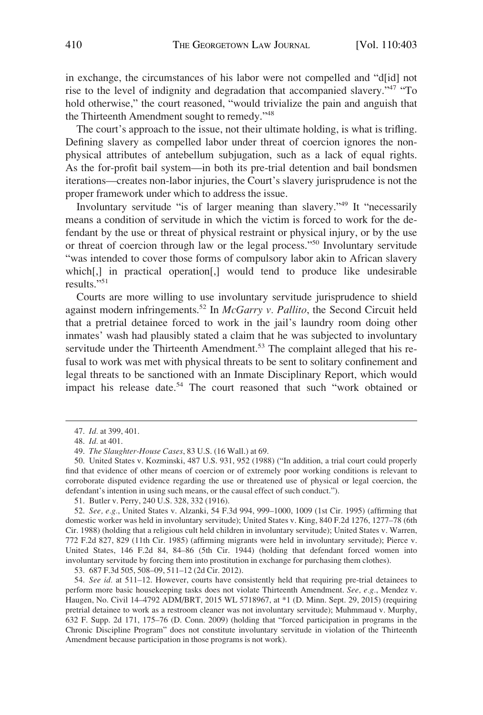in exchange, the circumstances of his labor were not compelled and "d[id] not rise to the level of indignity and degradation that accompanied slavery."<sup>47</sup> "To hold otherwise," the court reasoned, "would trivialize the pain and anguish that the Thirteenth Amendment sought to remedy."<sup>48</sup>

The court's approach to the issue, not their ultimate holding, is what is trifling. Defining slavery as compelled labor under threat of coercion ignores the nonphysical attributes of antebellum subjugation, such as a lack of equal rights. As the for-profit bail system—in both its pre-trial detention and bail bondsmen iterations—creates non-labor injuries, the Court's slavery jurisprudence is not the proper framework under which to address the issue.

Involuntary servitude "is of larger meaning than slavery."49 It "necessarily means a condition of servitude in which the victim is forced to work for the defendant by the use or threat of physical restraint or physical injury, or by the use or threat of coercion through law or the legal process."50 Involuntary servitude "was intended to cover those forms of compulsory labor akin to African slavery which[,] in practical operation[,] would tend to produce like undesirable results<sup>"51</sup>

Courts are more willing to use involuntary servitude jurisprudence to shield against modern infringements.52 In *McGarry v. Pallito*, the Second Circuit held that a pretrial detainee forced to work in the jail's laundry room doing other inmates' wash had plausibly stated a claim that he was subjected to involuntary servitude under the Thirteenth Amendment.<sup>53</sup> The complaint alleged that his refusal to work was met with physical threats to be sent to solitary confinement and legal threats to be sanctioned with an Inmate Disciplinary Report, which would impact his release date.<sup>54</sup> The court reasoned that such "work obtained or

53. 687 F.3d 505, 508–09, 511–12 (2d Cir. 2012).

54. *See id.* at 511–12. However, courts have consistently held that requiring pre-trial detainees to perform more basic housekeeping tasks does not violate Thirteenth Amendment. *See, e.g.*, Mendez v. Haugen, No. Civil 14–4792 ADM/BRT, 2015 WL 5718967, at \*1 (D. Minn. Sept. 29, 2015) (requiring pretrial detainee to work as a restroom cleaner was not involuntary servitude); Muhmmaud v. Murphy, 632 F. Supp. 2d 171, 175–76 (D. Conn. 2009) (holding that "forced participation in programs in the Chronic Discipline Program" does not constitute involuntary servitude in violation of the Thirteenth Amendment because participation in those programs is not work).

<sup>47.</sup> *Id.* at 399, 401.

<sup>48.</sup> *Id.* at 401.

<sup>49.</sup> *The Slaughter-House Cases*, 83 U.S. (16 Wall.) at 69.

<sup>50.</sup> United States v. Kozminski, 487 U.S. 931, 952 (1988) ("In addition, a trial court could properly find that evidence of other means of coercion or of extremely poor working conditions is relevant to corroborate disputed evidence regarding the use or threatened use of physical or legal coercion, the defendant's intention in using such means, or the causal effect of such conduct.").

<sup>51.</sup> Butler v. Perry, 240 U.S. 328, 332 (1916).

<sup>52.</sup> *See, e.g.*, United States v. Alzanki, 54 F.3d 994, 999–1000, 1009 (1st Cir. 1995) (affirming that domestic worker was held in involuntary servitude); United States v. King, 840 F.2d 1276, 1277–78 (6th Cir. 1988) (holding that a religious cult held children in involuntary servitude); United States v. Warren, 772 F.2d 827, 829 (11th Cir. 1985) (affirming migrants were held in involuntary servitude); Pierce v. United States, 146 F.2d 84, 84–86 (5th Cir. 1944) (holding that defendant forced women into involuntary servitude by forcing them into prostitution in exchange for purchasing them clothes).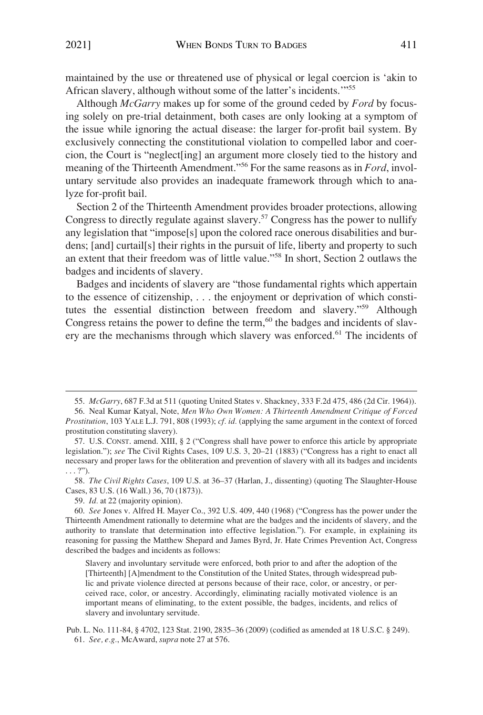maintained by the use or threatened use of physical or legal coercion is 'akin to African slavery, although without some of the latter's incidents.'"<sup>55</sup>

Although *McGarry* makes up for some of the ground ceded by *Ford* by focusing solely on pre-trial detainment, both cases are only looking at a symptom of the issue while ignoring the actual disease: the larger for-profit bail system. By exclusively connecting the constitutional violation to compelled labor and coercion, the Court is "neglect[ing] an argument more closely tied to the history and meaning of the Thirteenth Amendment."56 For the same reasons as in *Ford*, involuntary servitude also provides an inadequate framework through which to analyze for-profit bail.

Section 2 of the Thirteenth Amendment provides broader protections, allowing Congress to directly regulate against slavery.57 Congress has the power to nullify any legislation that "impose[s] upon the colored race onerous disabilities and burdens; [and] curtail[s] their rights in the pursuit of life, liberty and property to such an extent that their freedom was of little value."58 In short, Section 2 outlaws the badges and incidents of slavery.

Badges and incidents of slavery are "those fundamental rights which appertain to the essence of citizenship, . . . the enjoyment or deprivation of which constitutes the essential distinction between freedom and slavery."59 Although Congress retains the power to define the term, $60$  the badges and incidents of slavery are the mechanisms through which slavery was enforced.<sup>61</sup> The incidents of

58. *The Civil Rights Cases*, 109 U.S. at 36–37 (Harlan, J., dissenting) (quoting The Slaughter-House Cases, 83 U.S. (16 Wall.) 36, 70 (1873)).

59. *Id.* at 22 (majority opinion).

<sup>55.</sup> *McGarry*, 687 F.3d at 511 (quoting United States v. Shackney, 333 F.2d 475, 486 (2d Cir. 1964)).

<sup>56.</sup> Neal Kumar Katyal, Note, *Men Who Own Women: A Thirteenth Amendment Critique of Forced Prostitution*, 103 YALE L.J. 791, 808 (1993); *cf. id.* (applying the same argument in the context of forced prostitution constituting slavery).

<sup>57.</sup> U.S. CONST. amend. XIII, § 2 ("Congress shall have power to enforce this article by appropriate legislation."); *see* The Civil Rights Cases, 109 U.S. 3, 20–21 (1883) ("Congress has a right to enact all necessary and proper laws for the obliteration and prevention of slavery with all its badges and incidents . . . ?").

<sup>60.</sup> *See* Jones v. Alfred H. Mayer Co., 392 U.S. 409, 440 (1968) ("Congress has the power under the Thirteenth Amendment rationally to determine what are the badges and the incidents of slavery, and the authority to translate that determination into effective legislation."). For example, in explaining its reasoning for passing the Matthew Shepard and James Byrd, Jr. Hate Crimes Prevention Act, Congress described the badges and incidents as follows:

Slavery and involuntary servitude were enforced, both prior to and after the adoption of the [Thirteenth] [A]mendment to the Constitution of the United States, through widespread public and private violence directed at persons because of their race, color, or ancestry, or perceived race, color, or ancestry. Accordingly, eliminating racially motivated violence is an important means of eliminating, to the extent possible, the badges, incidents, and relics of slavery and involuntary servitude.

Pub. L. No. 111-84, § 4702, 123 Stat. 2190, 2835–36 (2009) (codified as amended at 18 U.S.C. § 249). 61. *See, e.g.*, McAward, *supra* note 27 at 576.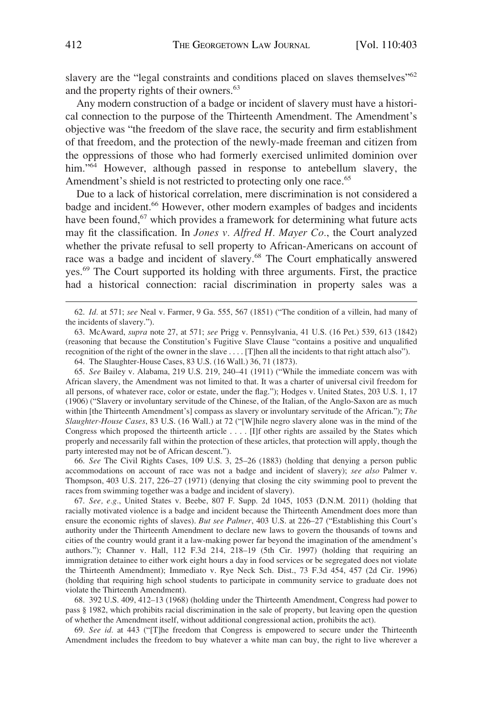slavery are the "legal constraints and conditions placed on slaves themselves"<sup>62</sup> and the property rights of their owners.<sup>63</sup>

Any modern construction of a badge or incident of slavery must have a historical connection to the purpose of the Thirteenth Amendment. The Amendment's objective was "the freedom of the slave race, the security and firm establishment of that freedom, and the protection of the newly-made freeman and citizen from the oppressions of those who had formerly exercised unlimited dominion over him."<sup>64</sup> However, although passed in response to antebellum slavery, the Amendment's shield is not restricted to protecting only one race.<sup>65</sup>

Due to a lack of historical correlation, mere discrimination is not considered a badge and incident.<sup>66</sup> However, other modern examples of badges and incidents have been found,<sup>67</sup> which provides a framework for determining what future acts may fit the classification. In *Jones v. Alfred H. Mayer Co.*, the Court analyzed whether the private refusal to sell property to African-Americans on account of race was a badge and incident of slavery.68 The Court emphatically answered yes.69 The Court supported its holding with three arguments. First, the practice had a historical connection: racial discrimination in property sales was a

63. McAward, *supra* note 27, at 571; *see* Prigg v. Pennsylvania, 41 U.S. (16 Pet.) 539, 613 (1842) (reasoning that because the Constitution's Fugitive Slave Clause "contains a positive and unqualified recognition of the right of the owner in the slave . . . . [T]hen all the incidents to that right attach also").

65. *See* Bailey v. Alabama, 219 U.S. 219, 240–41 (1911) ("While the immediate concern was with African slavery, the Amendment was not limited to that. It was a charter of universal civil freedom for all persons, of whatever race, color or estate, under the flag."); Hodges v. United States, 203 U.S. 1, 17 (1906) ("Slavery or involuntary servitude of the Chinese, of the Italian, of the Anglo-Saxon are as much within [the Thirteenth Amendment's] compass as slavery or involuntary servitude of the African."); *The Slaughter-House Cases*, 83 U.S. (16 Wall.) at 72 ("[W]hile negro slavery alone was in the mind of the Congress which proposed the thirteenth article . . . . [I]f other rights are assailed by the States which properly and necessarily fall within the protection of these articles, that protection will apply, though the party interested may not be of African descent.").

66. *See* The Civil Rights Cases, 109 U.S. 3, 25–26 (1883) (holding that denying a person public accommodations on account of race was not a badge and incident of slavery); *see also* Palmer v. Thompson, 403 U.S. 217, 226–27 (1971) (denying that closing the city swimming pool to prevent the races from swimming together was a badge and incident of slavery).

67. *See, e.g.*, United States v. Beebe, 807 F. Supp. 2d 1045, 1053 (D.N.M. 2011) (holding that racially motivated violence is a badge and incident because the Thirteenth Amendment does more than ensure the economic rights of slaves). *But see Palmer*, 403 U.S. at 226–27 ("Establishing this Court's authority under the Thirteenth Amendment to declare new laws to govern the thousands of towns and cities of the country would grant it a law-making power far beyond the imagination of the amendment's authors."); Channer v. Hall, 112 F.3d 214, 218–19 (5th Cir. 1997) (holding that requiring an immigration detainee to either work eight hours a day in food services or be segregated does not violate the Thirteenth Amendment); Immediato v. Rye Neck Sch. Dist., 73 F.3d 454, 457 (2d Cir. 1996) (holding that requiring high school students to participate in community service to graduate does not violate the Thirteenth Amendment).

68. 392 U.S. 409, 412–13 (1968) (holding under the Thirteenth Amendment, Congress had power to pass § 1982, which prohibits racial discrimination in the sale of property, but leaving open the question of whether the Amendment itself, without additional congressional action, prohibits the act).

69. *See id.* at 443 ("[T]he freedom that Congress is empowered to secure under the Thirteenth Amendment includes the freedom to buy whatever a white man can buy, the right to live wherever a

<sup>62.</sup> *Id.* at 571; *see* Neal v. Farmer, 9 Ga. 555, 567 (1851) ("The condition of a villein, had many of the incidents of slavery.").

<sup>64.</sup> The Slaughter-House Cases, 83 U.S. (16 Wall.) 36, 71 (1873).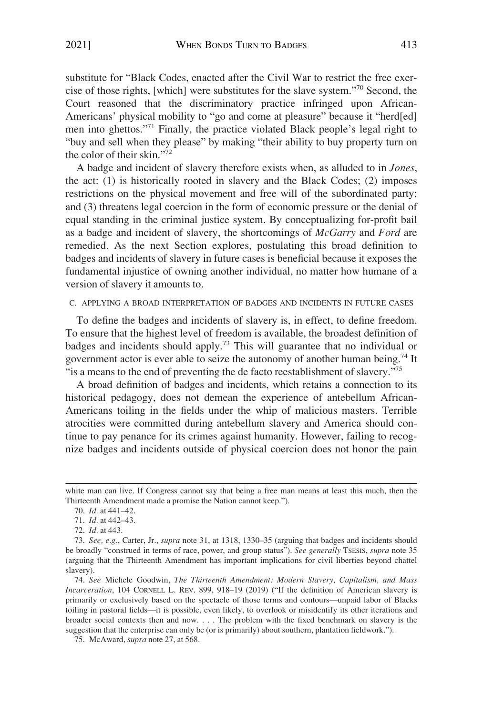<span id="page-10-0"></span>substitute for "Black Codes, enacted after the Civil War to restrict the free exercise of those rights, [which] were substitutes for the slave system."70 Second, the Court reasoned that the discriminatory practice infringed upon African-Americans' physical mobility to "go and come at pleasure" because it "herd[ed] men into ghettos."71 Finally, the practice violated Black people's legal right to "buy and sell when they please" by making "their ability to buy property turn on the color of their skin."<sup>72</sup>

A badge and incident of slavery therefore exists when, as alluded to in *Jones*, the act: (1) is historically rooted in slavery and the Black Codes; (2) imposes restrictions on the physical movement and free will of the subordinated party; and (3) threatens legal coercion in the form of economic pressure or the denial of equal standing in the criminal justice system. By conceptualizing for-profit bail as a badge and incident of slavery, the shortcomings of *McGarry* and *Ford* are remedied. As the next Section explores, postulating this broad definition to badges and incidents of slavery in future cases is beneficial because it exposes the fundamental injustice of owning another individual, no matter how humane of a version of slavery it amounts to.

### C. APPLYING A BROAD INTERPRETATION OF BADGES AND INCIDENTS IN FUTURE CASES

To define the badges and incidents of slavery is, in effect, to define freedom. To ensure that the highest level of freedom is available, the broadest definition of badges and incidents should apply.<sup>73</sup> This will guarantee that no individual or government actor is ever able to seize the autonomy of another human being.<sup>74</sup> It "is a means to the end of preventing the de facto reestablishment of slavery."<sup>75</sup>

A broad definition of badges and incidents, which retains a connection to its historical pedagogy, does not demean the experience of antebellum African-Americans toiling in the fields under the whip of malicious masters. Terrible atrocities were committed during antebellum slavery and America should continue to pay penance for its crimes against humanity. However, failing to recognize badges and incidents outside of physical coercion does not honor the pain

white man can live. If Congress cannot say that being a free man means at least this much, then the Thirteenth Amendment made a promise the Nation cannot keep.").

<sup>70.</sup> *Id.* at 441–42.

<sup>71.</sup> *Id.* at 442–43.

<sup>72.</sup> *Id.* at 443.

<sup>73.</sup> *See, e.g.*, Carter, Jr., *supra* note 31, at 1318, 1330–35 (arguing that badges and incidents should be broadly "construed in terms of race, power, and group status"). *See generally* TSESIS, *supra* note 35 (arguing that the Thirteenth Amendment has important implications for civil liberties beyond chattel slavery).

<sup>74.</sup> *See* Michele Goodwin, *The Thirteenth Amendment: Modern Slavery, Capitalism, and Mass Incarceration*, 104 CORNELL L. REV. 899, 918–19 (2019) ("If the definition of American slavery is primarily or exclusively based on the spectacle of those terms and contours—unpaid labor of Blacks toiling in pastoral fields—it is possible, even likely, to overlook or misidentify its other iterations and broader social contexts then and now. . . . The problem with the fixed benchmark on slavery is the suggestion that the enterprise can only be (or is primarily) about southern, plantation fieldwork.").

<sup>75.</sup> McAward, *supra* note 27, at 568.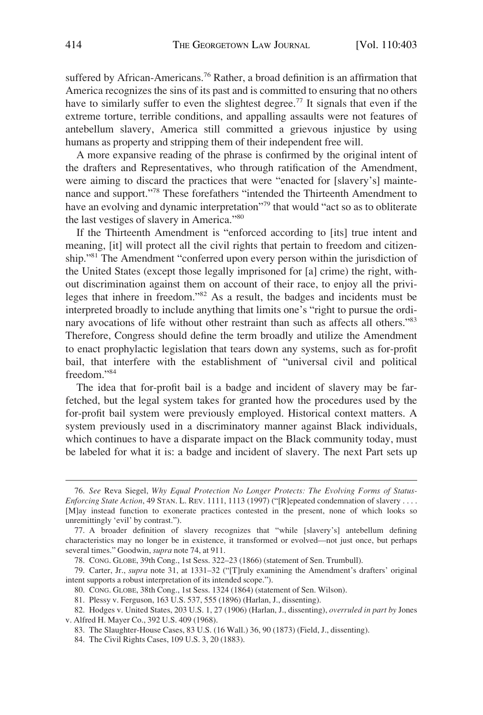suffered by African-Americans.<sup>76</sup> Rather, a broad definition is an affirmation that America recognizes the sins of its past and is committed to ensuring that no others have to similarly suffer to even the slightest degree.<sup>77</sup> It signals that even if the extreme torture, terrible conditions, and appalling assaults were not features of antebellum slavery, America still committed a grievous injustice by using humans as property and stripping them of their independent free will.

A more expansive reading of the phrase is confirmed by the original intent of the drafters and Representatives, who through ratification of the Amendment, were aiming to discard the practices that were "enacted for [slavery's] maintenance and support."78 These forefathers "intended the Thirteenth Amendment to have an evolving and dynamic interpretation<sup>779</sup> that would "act so as to obliterate the last vestiges of slavery in America."<sup>80</sup>

If the Thirteenth Amendment is "enforced according to [its] true intent and meaning, [it] will protect all the civil rights that pertain to freedom and citizenship."81 The Amendment "conferred upon every person within the jurisdiction of the United States (except those legally imprisoned for [a] crime) the right, without discrimination against them on account of their race, to enjoy all the privileges that inhere in freedom."82 As a result, the badges and incidents must be interpreted broadly to include anything that limits one's "right to pursue the ordinary avocations of life without other restraint than such as affects all others."<sup>83</sup> Therefore, Congress should define the term broadly and utilize the Amendment to enact prophylactic legislation that tears down any systems, such as for-profit bail, that interfere with the establishment of "universal civil and political freedom."<sup>84</sup>

The idea that for-profit bail is a badge and incident of slavery may be farfetched, but the legal system takes for granted how the procedures used by the for-profit bail system were previously employed. Historical context matters. A system previously used in a discriminatory manner against Black individuals, which continues to have a disparate impact on the Black community today, must be labeled for what it is: a badge and incident of slavery. The next Part sets up

<sup>76.</sup> *See* Reva Siegel, *Why Equal Protection No Longer Protects: The Evolving Forms of Status-Enforcing State Action, 49 STAN. L. REV. 1111, 1113 (1997)* ("[R]epeated condemnation of slavery . . . . [M]ay instead function to exonerate practices contested in the present, none of which looks so unremittingly 'evil' by contrast.").

<sup>77.</sup> A broader definition of slavery recognizes that "while [slavery's] antebellum defining characteristics may no longer be in existence, it transformed or evolved—not just once, but perhaps several times." Goodwin, *supra* note 74, at 911.

<sup>78.</sup> CONG. GLOBE, 39th Cong., 1st Sess. 322–23 (1866) (statement of Sen. Trumbull).

<sup>79.</sup> Carter, Jr., *supra* note 31, at 1331–32 ("[T]ruly examining the Amendment's drafters' original intent supports a robust interpretation of its intended scope.").

<sup>80.</sup> CONG. GLOBE, 38th Cong., 1st Sess. 1324 (1864) (statement of Sen. Wilson).

<sup>81.</sup> Plessy v. Ferguson, 163 U.S. 537, 555 (1896) (Harlan, J., dissenting).

<sup>82.</sup> Hodges v. United States, 203 U.S. 1, 27 (1906) (Harlan, J., dissenting), *overruled in part by* Jones v. Alfred H. Mayer Co., 392 U.S. 409 (1968).

<sup>83.</sup> The Slaughter-House Cases, 83 U.S. (16 Wall.) 36, 90 (1873) (Field, J., dissenting).

<sup>84.</sup> The Civil Rights Cases, 109 U.S. 3, 20 (1883).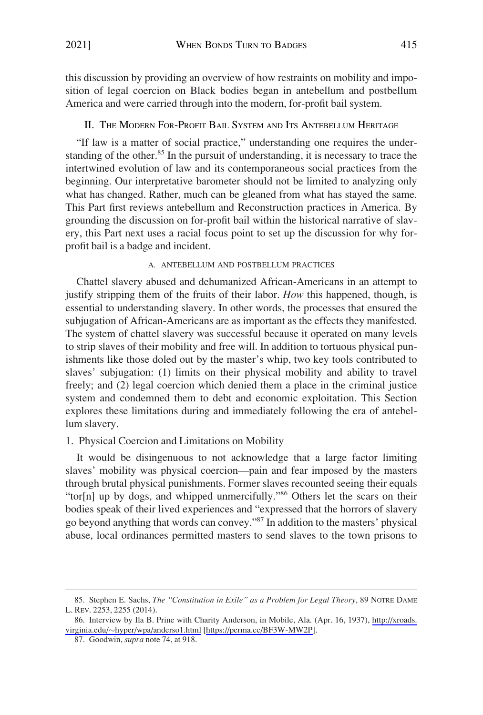<span id="page-12-0"></span>this discussion by providing an overview of how restraints on mobility and imposition of legal coercion on Black bodies began in antebellum and postbellum America and were carried through into the modern, for-profit bail system.

## II. THE MODERN FOR-PROFIT BAIL SYSTEM AND ITS ANTEBELLUM HERITAGE

"If law is a matter of social practice," understanding one requires the understanding of the other.<sup>85</sup> In the pursuit of understanding, it is necessary to trace the intertwined evolution of law and its contemporaneous social practices from the beginning. Our interpretative barometer should not be limited to analyzing only what has changed. Rather, much can be gleaned from what has stayed the same. This Part first reviews antebellum and Reconstruction practices in America. By grounding the discussion on for-profit bail within the historical narrative of slavery, this Part next uses a racial focus point to set up the discussion for why forprofit bail is a badge and incident.

## A. ANTEBELLUM AND POSTBELLUM PRACTICES

Chattel slavery abused and dehumanized African-Americans in an attempt to justify stripping them of the fruits of their labor. *How* this happened, though, is essential to understanding slavery. In other words, the processes that ensured the subjugation of African-Americans are as important as the effects they manifested. The system of chattel slavery was successful because it operated on many levels to strip slaves of their mobility and free will. In addition to tortuous physical punishments like those doled out by the master's whip, two key tools contributed to slaves' subjugation: (1) limits on their physical mobility and ability to travel freely; and (2) legal coercion which denied them a place in the criminal justice system and condemned them to debt and economic exploitation. This Section explores these limitations during and immediately following the era of antebellum slavery.

## 1. Physical Coercion and Limitations on Mobility

It would be disingenuous to not acknowledge that a large factor limiting slaves' mobility was physical coercion—pain and fear imposed by the masters through brutal physical punishments. Former slaves recounted seeing their equals "tor[n] up by dogs, and whipped unmercifully."<sup>86</sup> Others let the scars on their bodies speak of their lived experiences and "expressed that the horrors of slavery go beyond anything that words can convey."87 In addition to the masters' physical abuse, local ordinances permitted masters to send slaves to the town prisons to

<sup>85.</sup> Stephen E. Sachs, *The "Constitution in Exile" as a Problem for Legal Theory*, 89 NOTRE DAME L. REV. 2253, 2255 (2014).

<sup>86.</sup> Interview by Ila B. Prine with Charity Anderson, in Mobile, Ala. (Apr. 16, 1937), http://xroads. virginia.edu/�[hyper/wpa/anderso1.html](http://xroads.virginia.edu/~hyper/wpa/anderso1.html) [\[https://perma.cc/BF3W-MW2P\]](https://perma.cc/BF3W-MW2P).

<sup>87.</sup> Goodwin, *supra* note 74, at 918.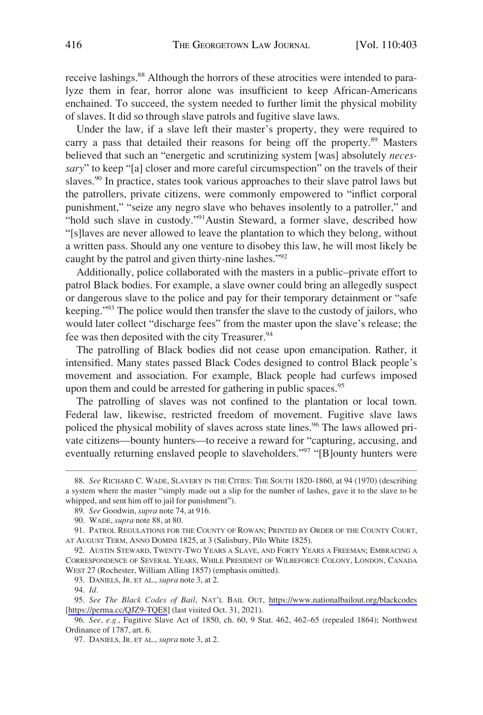receive lashings.<sup>88</sup> Although the horrors of these atrocities were intended to paralyze them in fear, horror alone was insufficient to keep African-Americans enchained. To succeed, the system needed to further limit the physical mobility of slaves. It did so through slave patrols and fugitive slave laws.

Under the law, if a slave left their master's property, they were required to carry a pass that detailed their reasons for being off the property.<sup>89</sup> Masters believed that such an "energetic and scrutinizing system [was] absolutely *necessary*" to keep "[a] closer and more careful circumspection" on the travels of their slaves.<sup>90</sup> In practice, states took various approaches to their slave patrol laws but the patrollers, private citizens, were commonly empowered to "inflict corporal punishment," "seize any negro slave who behaves insolently to a patroller," and "hold such slave in custody."<sup>91</sup>Austin Steward, a former slave, described how "[s]laves are never allowed to leave the plantation to which they belong, without a written pass. Should any one venture to disobey this law, he will most likely be caught by the patrol and given thirty-nine lashes."<sup>92</sup>

Additionally, police collaborated with the masters in a public–private effort to patrol Black bodies. For example, a slave owner could bring an allegedly suspect or dangerous slave to the police and pay for their temporary detainment or "safe keeping."93 The police would then transfer the slave to the custody of jailors, who would later collect "discharge fees" from the master upon the slave's release; the fee was then deposited with the city Treasurer.<sup>94</sup>

The patrolling of Black bodies did not cease upon emancipation. Rather, it intensified. Many states passed Black Codes designed to control Black people's movement and association. For example, Black people had curfews imposed upon them and could be arrested for gathering in public spaces.<sup>95</sup>

The patrolling of slaves was not confined to the plantation or local town. Federal law, likewise, restricted freedom of movement. Fugitive slave laws policed the physical mobility of slaves across state lines.<sup>96</sup> The laws allowed private citizens—bounty hunters—to receive a reward for "capturing, accusing, and eventually returning enslaved people to slaveholders."<sup>97</sup> "[B]ounty hunters were

<sup>88.</sup> *See* RICHARD C. WADE, SLAVERY IN THE CITIES: THE SOUTH 1820-1860, at 94 (1970) (describing a system where the master "simply made out a slip for the number of lashes, gave it to the slave to be whipped, and sent him off to jail for punishment").

<sup>89.</sup> *See* Goodwin, *supra* note 74, at 916.

<sup>90.</sup> WADE, *supra* note 88, at 80.

<sup>91.</sup> PATROL REGULATIONS FOR THE COUNTY OF ROWAN; PRINTED BY ORDER OF THE COUNTY COURT, AT AUGUST TERM, ANNO DOMINI 1825, at 3 (Salisbury, Pilo White 1825).

<sup>92.</sup> AUSTIN STEWARD, TWENTY-TWO YEARS A SLAVE, AND FORTY YEARS A FREEMAN; EMBRACING A CORRESPONDENCE OF SEVERAL YEARS, WHILE PRESIDENT OF WILBEFORCE COLONY, LONDON, CANADA WEST 27 (Rochester, William Alling 1857) (emphasis omitted).

<sup>93.</sup> DANIELS, JR. ET AL., *supra* note 3, at 2.

<sup>94.</sup> *Id.* 

*See The Black Codes of Bail*, NAT'L BAIL OUT, <https://www.nationalbailout.org/blackcodes> 95. [<https://perma.cc/QJZ9-TQE8>] (last visited Oct. 31, 2021).

<sup>96.</sup> *See, e.g.*, Fugitive Slave Act of 1850, ch. 60, 9 Stat. 462, 462–65 (repealed 1864); Northwest Ordinance of 1787, art. 6.

<sup>97.</sup> DANIELS, JR. ET AL., *supra* note 3, at 2.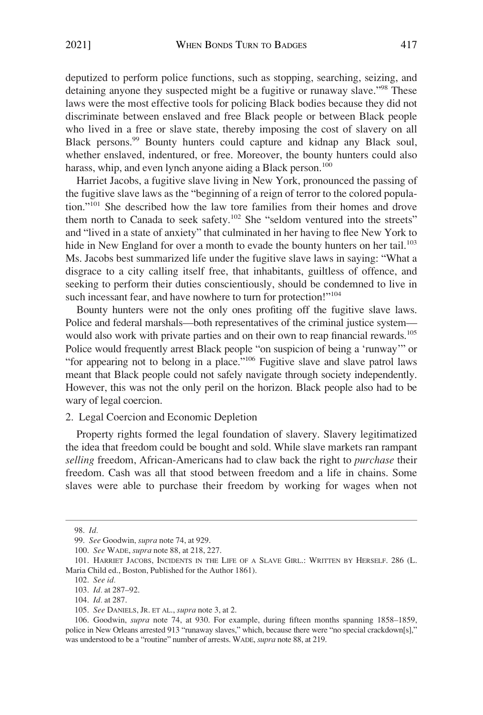<span id="page-14-0"></span>deputized to perform police functions, such as stopping, searching, seizing, and detaining anyone they suspected might be a fugitive or runaway slave."<sup>98</sup> These laws were the most effective tools for policing Black bodies because they did not discriminate between enslaved and free Black people or between Black people who lived in a free or slave state, thereby imposing the cost of slavery on all Black persons.99 Bounty hunters could capture and kidnap any Black soul, whether enslaved, indentured, or free. Moreover, the bounty hunters could also harass, whip, and even lynch anyone aiding a Black person.<sup>100</sup>

Harriet Jacobs, a fugitive slave living in New York, pronounced the passing of the fugitive slave laws as the "beginning of a reign of terror to the colored population."101 She described how the law tore families from their homes and drove them north to Canada to seek safety.<sup>102</sup> She "seldom ventured into the streets" and "lived in a state of anxiety" that culminated in her having to flee New York to hide in New England for over a month to evade the bounty hunters on her tail.<sup>103</sup> Ms. Jacobs best summarized life under the fugitive slave laws in saying: "What a disgrace to a city calling itself free, that inhabitants, guiltless of offence, and seeking to perform their duties conscientiously, should be condemned to live in such incessant fear, and have nowhere to turn for protection!"<sup>104</sup>

Bounty hunters were not the only ones profiting off the fugitive slave laws. Police and federal marshals—both representatives of the criminal justice system would also work with private parties and on their own to reap financial rewards.<sup>105</sup> Police would frequently arrest Black people "on suspicion of being a 'runway'" or "for appearing not to belong in a place."106 Fugitive slave and slave patrol laws meant that Black people could not safely navigate through society independently. However, this was not the only peril on the horizon. Black people also had to be wary of legal coercion.

## 2. Legal Coercion and Economic Depletion

Property rights formed the legal foundation of slavery. Slavery legitimatized the idea that freedom could be bought and sold. While slave markets ran rampant *selling* freedom, African-Americans had to claw back the right to *purchase* their freedom. Cash was all that stood between freedom and a life in chains. Some slaves were able to purchase their freedom by working for wages when not

<sup>98.</sup> *Id.* 

<sup>99.</sup> *See* Goodwin, *supra* note 74, at 929.

<sup>100.</sup> *See* WADE, *supra* note 88, at 218, 227.

<sup>101.</sup> HARRIET JACOBS, INCIDENTS IN THE LIFE OF A SLAVE GIRL.: WRITTEN BY HERSELF. 286 (L. Maria Child ed., Boston, Published for the Author 1861).

<sup>102.</sup> *See id.* 

<sup>103.</sup> *Id.* at 287–92.

<sup>104.</sup> *Id.* at 287.

<sup>105.</sup> *See* DANIELS, JR. ET AL., *supra* note 3, at 2.

<sup>106.</sup> Goodwin, *supra* note 74, at 930. For example, during fifteen months spanning 1858–1859, police in New Orleans arrested 913 "runaway slaves," which, because there were "no special crackdown[s]," was understood to be a "routine" number of arrests. WADE, *supra* note 88, at 219.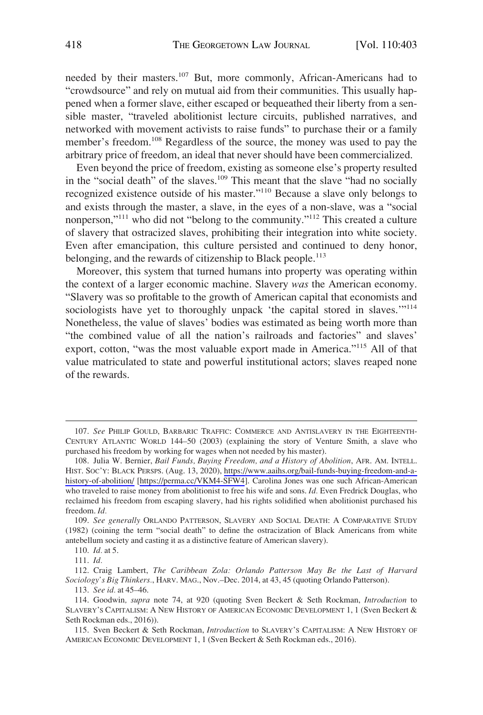needed by their masters.<sup>107</sup> But, more commonly, African-Americans had to "crowdsource" and rely on mutual aid from their communities. This usually happened when a former slave, either escaped or bequeathed their liberty from a sensible master, "traveled abolitionist lecture circuits, published narratives, and networked with movement activists to raise funds" to purchase their or a family member's freedom.<sup>108</sup> Regardless of the source, the money was used to pay the arbitrary price of freedom, an ideal that never should have been commercialized.

Even beyond the price of freedom, existing as someone else's property resulted in the "social death" of the slaves.<sup>109</sup> This meant that the slave "had no socially recognized existence outside of his master."110 Because a slave only belongs to and exists through the master, a slave, in the eyes of a non-slave, was a "social nonperson,"111 who did not "belong to the community."112 This created a culture of slavery that ostracized slaves, prohibiting their integration into white society. Even after emancipation, this culture persisted and continued to deny honor, belonging, and the rewards of citizenship to Black people.<sup>113</sup>

Moreover, this system that turned humans into property was operating within the context of a larger economic machine. Slavery *was* the American economy. "Slavery was so profitable to the growth of American capital that economists and sociologists have yet to thoroughly unpack 'the capital stored in slaves.'"<sup>114</sup> Nonetheless, the value of slaves' bodies was estimated as being worth more than "the combined value of all the nation's railroads and factories" and slaves' export, cotton, "was the most valuable export made in America."115 All of that value matriculated to state and powerful institutional actors; slaves reaped none of the rewards.

112. Craig Lambert, *The Caribbean Zola: Orlando Patterson May Be the Last of Harvard Sociology's Big Thinkers.*, HARV. MAG., Nov.–Dec. 2014, at 43, 45 (quoting Orlando Patterson).

113. *See id.* at 45–46.

<sup>107.</sup> *See* PHILIP GOULD, BARBARIC TRAFFIC: COMMERCE AND ANTISLAVERY IN THE EIGHTEENTH-CENTURY ATLANTIC WORLD 144–50 (2003) (explaining the story of Venture Smith, a slave who purchased his freedom by working for wages when not needed by his master).

<sup>108.</sup> Julia W. Bernier, *Bail Funds, Buying Freedom, and a History of Abolition*, AFR. AM. INTELL. HIST. SOC'Y: BLACK PERSPS. (Aug. 13, 2020), [https://www.aaihs.org/bail-funds-buying-freedom-and-a](https://www.aaihs.org/bail-funds-buying-freedom-and-a-history-of-abolition/)[history-of-abolition/](https://www.aaihs.org/bail-funds-buying-freedom-and-a-history-of-abolition/) [<https://perma.cc/VKM4-SFW4>]. Carolina Jones was one such African-American who traveled to raise money from abolitionist to free his wife and sons. *Id.* Even Fredrick Douglas, who reclaimed his freedom from escaping slavery, had his rights solidified when abolitionist purchased his freedom. *Id.* 

<sup>109.</sup> *See generally* ORLANDO PATTERSON, SLAVERY AND SOCIAL DEATH: A COMPARATIVE STUDY (1982) (coining the term "social death" to define the ostracization of Black Americans from white antebellum society and casting it as a distinctive feature of American slavery).

<sup>110.</sup> *Id.* at 5.

<sup>111.</sup> *Id.* 

<sup>114.</sup> Goodwin*, supra* note 74, at 920 (quoting Sven Beckert & Seth Rockman, *Introduction* to SLAVERY'S CAPITALISM: A NEW HISTORY OF AMERICAN ECONOMIC DEVELOPMENT 1, 1 (Sven Beckert & Seth Rockman eds., 2016)).

<sup>115.</sup> Sven Beckert & Seth Rockman, *Introduction* to SLAVERY'S CAPITALISM: A NEW HISTORY OF AMERICAN ECONOMIC DEVELOPMENT 1, 1 (Sven Beckert & Seth Rockman eds., 2016).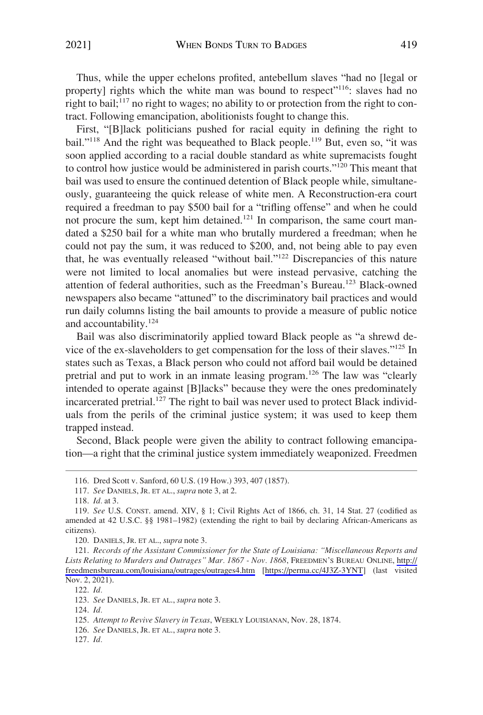Thus, while the upper echelons profited, antebellum slaves "had no [legal or property] rights which the white man was bound to respect<sup>"116</sup>: slaves had no right to bail;<sup>117</sup> no right to wages; no ability to or protection from the right to contract. Following emancipation, abolitionists fought to change this.

First, "[B]lack politicians pushed for racial equity in defining the right to bail."<sup>118</sup> And the right was bequeathed to Black people.<sup>119</sup> But, even so, "it was soon applied according to a racial double standard as white supremacists fought to control how justice would be administered in parish courts."120 This meant that bail was used to ensure the continued detention of Black people while, simultaneously, guaranteeing the quick release of white men. A Reconstruction-era court required a freedman to pay \$500 bail for a "trifling offense" and when he could not procure the sum, kept him detained.<sup>121</sup> In comparison, the same court mandated a \$250 bail for a white man who brutally murdered a freedman; when he could not pay the sum, it was reduced to \$200, and, not being able to pay even that, he was eventually released "without bail."122 Discrepancies of this nature were not limited to local anomalies but were instead pervasive, catching the attention of federal authorities, such as the Freedman's Bureau.<sup>123</sup> Black-owned newspapers also became "attuned" to the discriminatory bail practices and would run daily columns listing the bail amounts to provide a measure of public notice and accountability.<sup>124</sup>

Bail was also discriminatorily applied toward Black people as "a shrewd device of the ex-slaveholders to get compensation for the loss of their slaves."125 In states such as Texas, a Black person who could not afford bail would be detained pretrial and put to work in an inmate leasing program.126 The law was "clearly intended to operate against [B]lacks" because they were the ones predominately incarcerated pretrial.<sup>127</sup> The right to bail was never used to protect Black individuals from the perils of the criminal justice system; it was used to keep them trapped instead.

Second, Black people were given the ability to contract following emancipation—a right that the criminal justice system immediately weaponized. Freedmen

126. *See* DANIELS, JR. ET AL., *supra* note 3.

<sup>116.</sup> Dred Scott v. Sanford, 60 U.S. (19 How.) 393, 407 (1857).

<sup>117.</sup> *See* DANIELS, JR. ET AL., *supra* note 3, at 2.

<sup>118.</sup> *Id.* at 3.

<sup>119.</sup> *See* U.S. CONST. amend. XIV, § 1; Civil Rights Act of 1866, ch. 31, 14 Stat. 27 (codified as amended at 42 U.S.C. §§ 1981–1982) (extending the right to bail by declaring African-Americans as citizens).

<sup>120.</sup> DANIELS, JR. ET AL., *supra* note 3.

*Records of the Assistant Commissioner for the State of Louisiana: "Miscellaneous Reports and*  121. *Lists Relating to Murders and Outrages" Mar. 1867 - Nov. 1868*, FREEDMEN'S BUREAU ONLINE, [http://](http://freedmensbureau.com/louisiana/outrages/outrages4.htm)  [freedmensbureau.com/louisiana/outrages/outrages4.htm](http://freedmensbureau.com/louisiana/outrages/outrages4.htm) [<https://perma.cc/4J3Z-3YNT>] (last visited Nov. 2, 2021).

<sup>122.</sup> *Id.* 

<sup>123.</sup> *See* DANIELS, JR. ET AL., *supra* note 3.

<sup>124.</sup> *Id.* 

<sup>125.</sup> *Attempt to Revive Slavery in Texas*, WEEKLY LOUISIANAN, Nov. 28, 1874.

<sup>127.</sup> *Id.*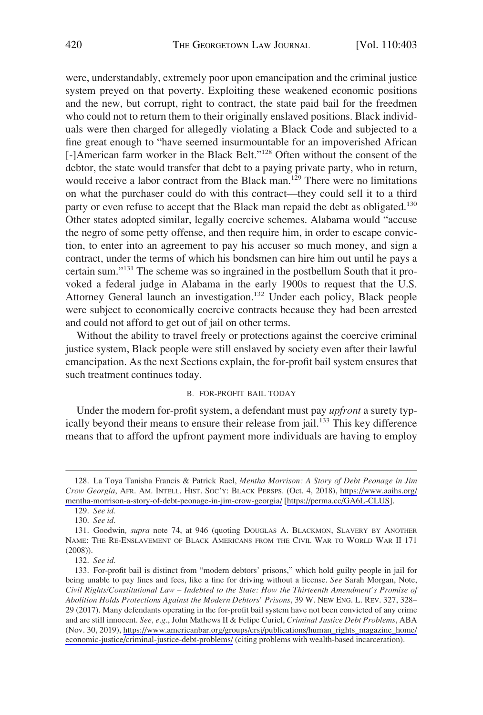<span id="page-17-0"></span>were, understandably, extremely poor upon emancipation and the criminal justice system preyed on that poverty. Exploiting these weakened economic positions and the new, but corrupt, right to contract, the state paid bail for the freedmen who could not to return them to their originally enslaved positions. Black individuals were then charged for allegedly violating a Black Code and subjected to a fine great enough to "have seemed insurmountable for an impoverished African [-]American farm worker in the Black Belt."<sup>128</sup> Often without the consent of the debtor, the state would transfer that debt to a paying private party, who in return, would receive a labor contract from the Black man.<sup>129</sup> There were no limitations on what the purchaser could do with this contract—they could sell it to a third party or even refuse to accept that the Black man repaid the debt as obligated.<sup>130</sup> Other states adopted similar, legally coercive schemes. Alabama would "accuse the negro of some petty offense, and then require him, in order to escape conviction, to enter into an agreement to pay his accuser so much money, and sign a contract, under the terms of which his bondsmen can hire him out until he pays a certain sum."131 The scheme was so ingrained in the postbellum South that it provoked a federal judge in Alabama in the early 1900s to request that the U.S. Attorney General launch an investigation.<sup>132</sup> Under each policy, Black people were subject to economically coercive contracts because they had been arrested and could not afford to get out of jail on other terms.

Without the ability to travel freely or protections against the coercive criminal justice system, Black people were still enslaved by society even after their lawful emancipation. As the next Sections explain, the for-profit bail system ensures that such treatment continues today.

#### B. FOR-PROFIT BAIL TODAY

Under the modern for-profit system, a defendant must pay *upfront* a surety typically beyond their means to ensure their release from jail.<sup>133</sup> This key difference means that to afford the upfront payment more individuals are having to employ

La Toya Tanisha Francis & Patrick Rael, *Mentha Morrison: A Story of Debt Peonage in Jim*  128. *Crow Georgia*, AFR. AM. INTELL. HIST. SOC'Y: BLACK PERSPS. (Oct. 4, 2018), [https://www.aaihs.org/](https://www.aaihs.org/mentha-morrison-a-story-of-debt-peonage-in-jim-crow-georgia/)  [mentha-morrison-a-story-of-debt-peonage-in-jim-crow-georgia/](https://www.aaihs.org/mentha-morrison-a-story-of-debt-peonage-in-jim-crow-georgia/) [<https://perma.cc/GA6L-CLUS>].

<sup>129.</sup> *See id.* 

<sup>130.</sup> *See id.* 

<sup>131.</sup> Goodwin*, supra* note 74, at 946 (quoting DOUGLAS A. BLACKMON, SLAVERY BY ANOTHER NAME: THE RE-ENSLAVEMENT OF BLACK AMERICANS FROM THE CIVIL WAR TO WORLD WAR II 171 (2008)).

<sup>132.</sup> *See id.* 

<sup>133.</sup> For-profit bail is distinct from "modern debtors' prisons," which hold guilty people in jail for being unable to pay fines and fees, like a fine for driving without a license. *See* Sarah Morgan, Note, *Civil Rights/Constitutional Law – Indebted to the State: How the Thirteenth Amendment's Promise of Abolition Holds Protections Against the Modern Debtors' Prisons*, 39 W. NEW ENG. L. REV. 327, 328– 29 (2017). Many defendants operating in the for-profit bail system have not been convicted of any crime and are still innocent. *See, e.g.*, John Mathews II & Felipe Curiel, *Criminal Justice Debt Problems*, ABA (Nov. 30, 2019), [https://www.americanbar.org/groups/crsj/publications/human\\_rights\\_magazine\\_home/](https://www.americanbar.org/groups/crsj/publications/human_rights_magazine_home/economic-justice/criminal-justice-debt-problems/)  [economic-justice/criminal-justice-debt-problems/](https://www.americanbar.org/groups/crsj/publications/human_rights_magazine_home/economic-justice/criminal-justice-debt-problems/) (citing problems with wealth-based incarceration).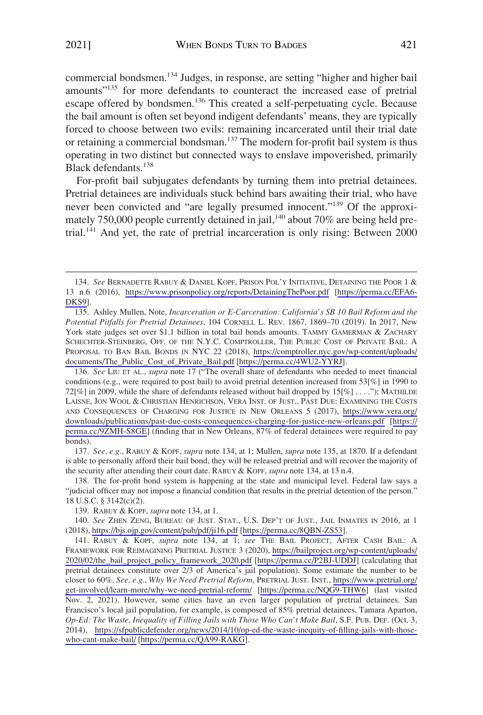commercial bondsmen.<sup>134</sup> Judges, in response, are setting "higher and higher bail amounts"<sup>135</sup> for more defendants to counteract the increased ease of pretrial escape offered by bondsmen.<sup>136</sup> This created a self-perpetuating cycle. Because the bail amount is often set beyond indigent defendants' means, they are typically forced to choose between two evils: remaining incarcerated until their trial date or retaining a commercial bondsman.<sup>137</sup> The modern for-profit bail system is thus operating in two distinct but connected ways to enslave impoverished, primarily Black defendants.<sup>138</sup>

For-profit bail subjugates defendants by turning them into pretrial detainees. Pretrial detainees are individuals stuck behind bars awaiting their trial, who have never been convicted and "are legally presumed innocent."<sup>139</sup> Of the approximately 750,000 people currently detained in jail,<sup>140</sup> about 70% are being held pretrial.<sup>141</sup> And yet, the rate of pretrial incarceration is only rising: Between 2000

136. See LIU ET AL., *supra* note 17 ("The overall share of defendants who needed to meet financial conditions (e.g., were required to post bail) to avoid pretrial detention increased from 53[%] in 1990 to 72[%] in 2009, while the share of defendants released without bail dropped by 15[%] . . . ."); MATHILDE LAISNE, JON WOOL & CHRISTIAN HENRICHSON, VERA INST. OF JUST., PAST DUE: EXAMINING THE COSTS AND CONSEQUENCES OF CHARGING FOR JUSTICE IN NEW ORLEANS 5 (2017), [https://www.vera.org/](https://www.vera.org/downloads/publications/past-due-costs-consequences-charging-for-justice-new-orleans.pdf)  [downloads/publications/past-due-costs-consequences-charging-for-justice-new-orleans.pdf](https://www.vera.org/downloads/publications/past-due-costs-consequences-charging-for-justice-new-orleans.pdf) [\[https://](https://perma.cc/9ZMH-S8GE) [perma.cc/9ZMH-S8GE\]](https://perma.cc/9ZMH-S8GE) (finding that in New Orleans, 87% of federal detainees were required to pay bonds).

137. *See, e.g.*, RABUY & KOPF, *supra* note 134, at 1; Mullen, *supra* note 135, at 1870. If a defendant is able to personally afford their bail bond, they will be released pretrial and will recover the majority of the security after attending their court date. RABUY & KOPF, *supra* note 134, at 13 n.4.

138. The for-profit bond system is happening at the state and municipal level. Federal law says a "judicial officer may not impose a financial condition that results in the pretrial detention of the person." 18 U.S.C. § 3142(c)(2).

<sup>134.</sup> See BERNADETTE RABUY & DANIEL KOPF, PRISON POL'Y INITIATIVE, DETAINING THE POOR 1 & 13 n.6 (2016), <https://www.prisonpolicy.org/reports/DetainingThePoor.pdf> [[https://perma.cc/EFA6-](https://perma.cc/EFA6-DKS9)  [DKS9](https://perma.cc/EFA6-DKS9)].

<sup>135.</sup> Ashley Mullen, Note, *Incarceration or E-Carceration: California's SB 10 Bail Reform and the Potential Pitfalls for Pretrial Detainees*, 104 CORNELL L. REV. 1867, 1869–70 (2019). In 2017, New York state judges set over \$1.1 billion in total bail bonds amounts. TAMMY GAMERMAN & ZACHARY SCHECHTER-STEINBERG, OFF. OF THE N.Y.C. COMPTROLLER, THE PUBLIC COST OF PRIVATE BAIL: A PROPOSAL TO BAN BAIL BONDS IN NYC 22 (2018), [https://comptroller.nyc.gov/wp-content/uploads/](https://comptroller.nyc.gov/wp-content/uploads/documents/The_Public_Cost_of_Private_Bail.pdf)  [documents/The\\_Public\\_Cost\\_of\\_Private\\_Bail.pdf](https://comptroller.nyc.gov/wp-content/uploads/documents/The_Public_Cost_of_Private_Bail.pdf) [[https://perma.cc/4WU2-YYRJ\]](https://perma.cc/4WU2-YYRJ).

<sup>139.</sup> RABUY & KOPF, *supra* note 134, at 1.

<sup>140.</sup> See ZHEN ZENG, BUREAU OF JUST. STAT., U.S. DEP'T OF JUST., JAIL INMATES IN 2016, at 1 (2018), <https://bjs.ojp.gov/content/pub/pdf/ji16.pdf>[\[https://perma.cc/8QBN-ZS53\]](https://perma.cc/8QBN-ZS53).

<sup>141.</sup> RABUY & KOPF, *supra* note 134, at 1; *see* THE BAIL PROJECT, AFTER CASH BAIL: A FRAMEWORK FOR REIMAGINING PRETRIAL JUSTICE 3 (2020), [https://bailproject.org/wp-content/uploads/](https://bailproject.org/wp-content/uploads/2020/02/the_bail_project_policy_framework_2020.pdf)  [2020/02/the\\_bail\\_project\\_policy\\_framework\\_2020.pdf](https://bailproject.org/wp-content/uploads/2020/02/the_bail_project_policy_framework_2020.pdf) [\[https://perma.cc/P2BJ-UDDJ\]](https://perma.cc/P2BJ-UDDJ) (calculating that pretrial detainees constitute over 2/3 of America's jail population). Some estimate the number to be closer to 60%. *See, e.g*., *Why We Need Pretrial Reform*, PRETRIAL JUST. INST., [https://www.pretrial.org/](https://www.pretrial.org/get-involved/learn-more/why-we-need-pretrial-reform/)  [get-involved/learn-more/why-we-need-pretrial-reform/](https://www.pretrial.org/get-involved/learn-more/why-we-need-pretrial-reform/) [\[https://perma.cc/NQG9-THW6](https://perma.cc/NQG9-THW6)] (last visited Nov. 2, 2021). However, some cities have an even larger population of pretrial detainees. San Francisco's local jail population, for example, is composed of 85% pretrial detainees. Tamara Aparton, *Op-Ed: The Waste, Inequality of Filling Jails with Those Who Can't Make Bail*, S.F. PUB. DEF. (Oct. 3, 2014), [https://sfpublicdefender.org/news/2014/10/op-ed-the-waste-inequity-of-filling-jails-with-those](https://sfpublicdefender.org/news/2014/10/op-ed-the-waste-inequity-of-filling-jails-with-those-who-cant-make-bail/)[who-cant-make-bail/](https://sfpublicdefender.org/news/2014/10/op-ed-the-waste-inequity-of-filling-jails-with-those-who-cant-make-bail/) [[https://perma.cc/QA99-RAKG\]](https://perma.cc/QA99-RAKG).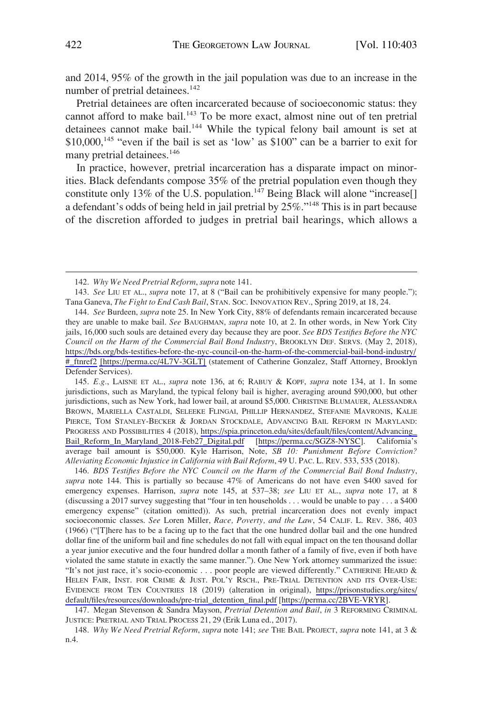and 2014, 95% of the growth in the jail population was due to an increase in the number of pretrial detainees.<sup>142</sup>

Pretrial detainees are often incarcerated because of socioeconomic status: they cannot afford to make bail.<sup>143</sup> To be more exact, almost nine out of ten pretrial detainees cannot make bail.<sup>144</sup> While the typical felony bail amount is set at  $$10,000$ ,<sup>145</sup> "even if the bail is set as 'low' as  $$100$ " can be a barrier to exit for many pretrial detainees.<sup>146</sup>

In practice, however, pretrial incarceration has a disparate impact on minorities. Black defendants compose 35% of the pretrial population even though they constitute only 13% of the U.S. population.<sup>147</sup> Being Black will alone "increase[] a defendant's odds of being held in jail pretrial by 25%."148 This is in part because of the discretion afforded to judges in pretrial bail hearings, which allows a

*E.g.*, LAISNE ET AL., *supra* note 136, at 6; RABUY & KOPF, *supra* note 134, at 1. In some 145. jurisdictions, such as Maryland, the typical felony bail is higher, averaging around \$90,000, but other jurisdictions, such as New York, had lower bail, at around \$5,000. CHRISTINE BLUMAUER, ALESSANDRA BROWN, MARIELLA CASTALDI, SELEEKE FLINGAI, PHILLIP HERNANDEZ, STEFANIE MAVRONIS, KALIE PIERCE, TOM STANLEY-BECKER & JORDAN STOCKDALE, ADVANCING BAIL REFORM IN MARYLAND: PROGRESS AND POSSIBILITIES 4 (2018), [https://spia.princeton.edu/sites/default/files/content/Advancing\\_](https://spia.princeton.edu/sites/default/files/content/Advancing_Bail_Reform_In_Maryland_2018-Feb27_Digital.pdf)  [Bail\\_Reform\\_In\\_Maryland\\_2018-Feb27\\_Digital.pdf](https://spia.princeton.edu/sites/default/files/content/Advancing_Bail_Reform_In_Maryland_2018-Feb27_Digital.pdf) [\[https://perma.cc/SGZ8-NYSC\]](https://perma.cc/SGZ8-NYSC). California's average bail amount is \$50,000. Kyle Harrison, Note, *SB 10: Punishment Before Conviction? Alleviating Economic Injustice in California with Bail Reform*, 49 U. PAC. L. REV. 533, 535 (2018).

*BDS Testifies Before the NYC Council on the Harm of the Commercial Bail Bond Industry*, 146. *supra* note 144. This is partially so because 47% of Americans do not have even \$400 saved for emergency expenses. Harrison, *supra* note 145, at 537–38; *see* LIU ET AL., *supra* note 17, at 8 (discussing a 2017 survey suggesting that "four in ten households . . . would be unable to pay . . . a \$400 emergency expense" (citation omitted)). As such, pretrial incarceration does not evenly impact socioeconomic classes. *See* Loren Miller, *Race, Poverty, and the Law*, 54 CALIF. L. REV. 386, 403 (1966) ("[T]here has to be a facing up to the fact that the one hundred dollar bail and the one hundred dollar fine of the uniform bail and fine schedules do not fall with equal impact on the ten thousand dollar a year junior executive and the four hundred dollar a month father of a family of five, even if both have violated the same statute in exactly the same manner."). One New York attorney summarized the issue: "It's not just race, it's socio-economic . . . poor people are viewed differently." CATHERINE HEARD & HELEN FAIR, INST. FOR CRIME & JUST. POL'Y RSCH., PRE-TRIAL DETENTION AND ITS OVER-USE: EVIDENCE FROM TEN COUNTRIES 18 (2019) (alteration in original), [https://prisonstudies.org/sites/](https://prisonstudies.org/sites/default/files/resources/downloads/pre-trial_detention_final.pdf)  [default/files/resources/downloads/pre-trial\\_detention\\_final.pdf](https://prisonstudies.org/sites/default/files/resources/downloads/pre-trial_detention_final.pdf) [\[https://perma.cc/2BVE-VRYR](https://perma.cc/2BVE-VRYR)].

147. Megan Stevenson & Sandra Mayson, *Pretrial Detention and Bail*, *in* 3 REFORMING CRIMINAL JUSTICE: PRETRIAL AND TRIAL PROCESS 21, 29 (Erik Luna ed., 2017).

148. *Why We Need Pretrial Reform*, *supra* note 141; *see* THE BAIL PROJECT, *supra* note 141, at 3 & n.4.

<sup>142.</sup> *Why We Need Pretrial Reform*, *supra* note 141.

<sup>143.</sup> *See* LIU ET AL., *supra* note 17, at 8 ("Bail can be prohibitively expensive for many people."); Tana Ganeva, *The Fight to End Cash Bail*, STAN. SOC. INNOVATION REV., Spring 2019, at 18, 24.

<sup>144.</sup> See Burdeen, *supra* note 25. In New York City, 88% of defendants remain incarcerated because they are unable to make bail. *See* BAUGHMAN, *supra* note 10, at 2. In other words, in New York City jails, 16,000 such souls are detained every day because they are poor. *See BDS Testifies Before the NYC Council on the Harm of the Commercial Bail Bond Industry*, BROOKLYN DEF. SERVS. (May 2, 2018), [https://bds.org/bds-testifies-before-the-nyc-council-on-the-harm-of-the-commercial-bail-bond-industry/](https://bds.org/bds-testifies-before-the-nyc-council-on-the-harm-of-the-commercial-bail-bond-industry/#_ftnref2)  [#\\_ftnref2](https://bds.org/bds-testifies-before-the-nyc-council-on-the-harm-of-the-commercial-bail-bond-industry/#_ftnref2) [\[https://perma.cc/4L7V-3GLT\]](https://perma.cc/4L7V-3GLT) (statement of Catherine Gonzalez, Staff Attorney, Brooklyn Defender Services).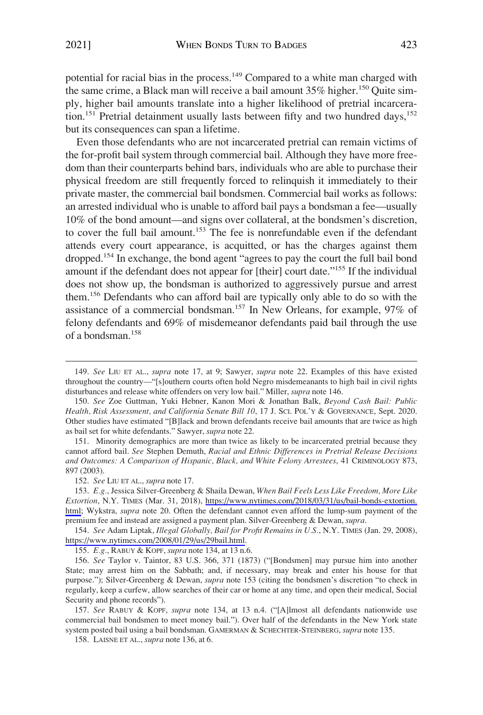potential for racial bias in the process.<sup>149</sup> Compared to a white man charged with the same crime, a Black man will receive a bail amount  $35\%$  higher.<sup>150</sup> Quite simply, higher bail amounts translate into a higher likelihood of pretrial incarceration.<sup>151</sup> Pretrial detainment usually lasts between fifty and two hundred days,<sup>152</sup> but its consequences can span a lifetime.

Even those defendants who are not incarcerated pretrial can remain victims of the for-profit bail system through commercial bail. Although they have more freedom than their counterparts behind bars, individuals who are able to purchase their physical freedom are still frequently forced to relinquish it immediately to their private master, the commercial bail bondsmen. Commercial bail works as follows: an arrested individual who is unable to afford bail pays a bondsman a fee—usually 10% of the bond amount—and signs over collateral, at the bondsmen's discretion, to cover the full bail amount.<sup>153</sup> The fee is nonrefundable even if the defendant attends every court appearance, is acquitted, or has the charges against them dropped.<sup>154</sup> In exchange, the bond agent "agrees to pay the court the full bail bond amount if the defendant does not appear for [their] court date."155 If the individual does not show up, the bondsman is authorized to aggressively pursue and arrest them.156 Defendants who can afford bail are typically only able to do so with the assistance of a commercial bondsman.157 In New Orleans, for example, 97% of felony defendants and 69% of misdemeanor defendants paid bail through the use of a bondsman.<sup>158</sup>

151. Minority demographics are more than twice as likely to be incarcerated pretrial because they cannot afford bail. *See* Stephen Demuth, *Racial and Ethnic Differences in Pretrial Release Decisions and Outcomes: A Comparison of Hispanic, Black, and White Felony Arrestees*, 41 CRIMINOLOGY 873, 897 (2003).

154. See Adam Liptak, *Illegal Globally, Bail for Profit Remains in U.S.*, N.Y. TIMES (Jan. 29, 2008), [https://www.nytimes.com/2008/01/29/us/29bail.html.](https://www.nytimes.com/2008/01/29/us/29bail.html)

155. *E.g.*, RABUY & KOPF, *supra* note 134, at 13 n.6.

157. *See* RABUY & KOPF, *supra* note 134, at 13 n.4. ("[A]lmost all defendants nationwide use commercial bail bondsmen to meet money bail."). Over half of the defendants in the New York state system posted bail using a bail bondsman. GAMERMAN & SCHECHTER-STEINBERG, *supra* note 135.

158. LAISNE ET AL., *supra* note 136, at 6.

<sup>149.</sup> *See* LIU ET AL., *supra* note 17, at 9; Sawyer, *supra* note 22. Examples of this have existed throughout the country—"[s]outhern courts often hold Negro misdemeanants to high bail in civil rights disturbances and release white offenders on very low bail." Miller, *supra* note 146.

<sup>150.</sup> *See* Zoe Guttman, Yuki Hebner, Kanon Mori & Jonathan Balk, *Beyond Cash Bail: Public Health, Risk Assessment, and California Senate Bill 10*, 17 J. SCI. POL'Y & GOVERNANCE, Sept. 2020. Other studies have estimated "[B]lack and brown defendants receive bail amounts that are twice as high as bail set for white defendants." Sawyer, *supra* note 22.

<sup>152.</sup> *See* LIU ET AL., *supra* note 17.

*E.g.*, Jessica Silver-Greenberg & Shaila Dewan, *When Bail Feels Less Like Freedom, More Like*  153. *Extortion*, N.Y. TIMES (Mar. 31, 2018), [https://www.nytimes.com/2018/03/31/us/bail-bonds-extortion.](https://www.nytimes.com/2018/03/31/us/bail-bonds-extortion.html)  [html;](https://www.nytimes.com/2018/03/31/us/bail-bonds-extortion.html) Wykstra, *supra* note 20. Often the defendant cannot even afford the lump-sum payment of the premium fee and instead are assigned a payment plan. Silver-Greenberg & Dewan, *supra*.

<sup>156.</sup> *See* Taylor v. Taintor, 83 U.S. 366, 371 (1873) ("[Bondsmen] may pursue him into another State; may arrest him on the Sabbath; and, if necessary, may break and enter his house for that purpose."); Silver-Greenberg & Dewan, *supra* note 153 (citing the bondsmen's discretion "to check in regularly, keep a curfew, allow searches of their car or home at any time, and open their medical, Social Security and phone records").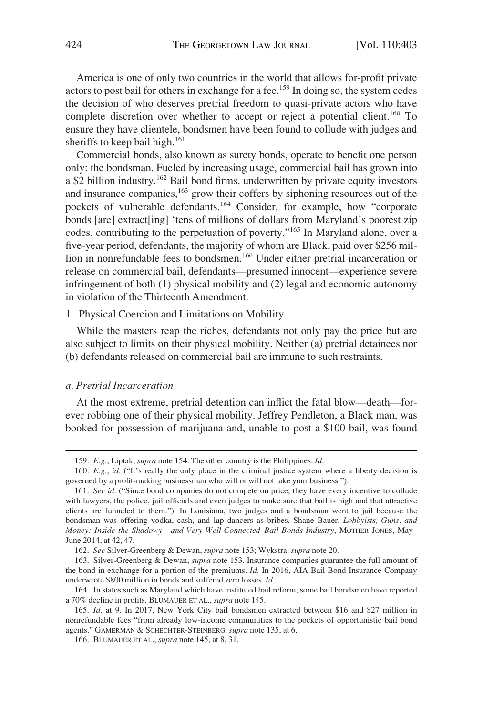<span id="page-21-0"></span>America is one of only two countries in the world that allows for-profit private actors to post bail for others in exchange for a fee.<sup>159</sup> In doing so, the system cedes the decision of who deserves pretrial freedom to quasi-private actors who have complete discretion over whether to accept or reject a potential client.<sup>160</sup> To ensure they have clientele, bondsmen have been found to collude with judges and sheriffs to keep bail high.<sup>161</sup>

Commercial bonds, also known as surety bonds, operate to benefit one person only: the bondsman. Fueled by increasing usage, commercial bail has grown into a \$2 billion industry.162 Bail bond firms, underwritten by private equity investors and insurance companies,<sup>163</sup> grow their coffers by siphoning resources out of the pockets of vulnerable defendants.<sup>164</sup> Consider, for example, how "corporate bonds [are] extract[ing] 'tens of millions of dollars from Maryland's poorest zip codes, contributing to the perpetuation of poverty."165 In Maryland alone, over a five-year period, defendants, the majority of whom are Black, paid over \$256 million in nonrefundable fees to bondsmen.<sup>166</sup> Under either pretrial incarceration or release on commercial bail, defendants—presumed innocent—experience severe infringement of both (1) physical mobility and (2) legal and economic autonomy in violation of the Thirteenth Amendment.

## 1. Physical Coercion and Limitations on Mobility

While the masters reap the riches, defendants not only pay the price but are also subject to limits on their physical mobility. Neither (a) pretrial detainees nor (b) defendants released on commercial bail are immune to such restraints.

#### *a. Pretrial Incarceration*

At the most extreme, pretrial detention can inflict the fatal blow—death—forever robbing one of their physical mobility. Jeffrey Pendleton, a Black man, was booked for possession of marijuana and, unable to post a \$100 bail, was found

<sup>159.</sup> *E.g.*, Liptak, *supra* note 154. The other country is the Philippines. *Id*.

<sup>160.</sup> *E.g.*, *id.* ("It's really the only place in the criminal justice system where a liberty decision is governed by a profit-making businessman who will or will not take your business.").

<sup>161.</sup> *See id.* ("Since bond companies do not compete on price, they have every incentive to collude with lawyers, the police, jail officials and even judges to make sure that bail is high and that attractive clients are funneled to them."). In Louisiana, two judges and a bondsman went to jail because the bondsman was offering vodka, cash, and lap dancers as bribes. Shane Bauer, *Lobbyists, Guns, and Money: Inside the Shadowy––and Very Well-Connected–Bail Bonds Industry*, MOTHER JONES, May– June 2014, at 42, 47.

<sup>162.</sup> *See* Silver-Greenberg & Dewan, *supra* note 153; Wykstra, *supra* note 20.

<sup>163.</sup> Silver-Greenberg & Dewan, *supra* note 153. Insurance companies guarantee the full amount of the bond in exchange for a portion of the premiums. *Id.* In 2016, AIA Bail Bond Insurance Company underwrote \$800 million in bonds and suffered zero losses. *Id.* 

<sup>164.</sup> In states such as Maryland which have instituted bail reform, some bail bondsmen have reported a 70% decline in profits. BLUMAUER ET AL., *supra* note 145.

<sup>165.</sup> *Id.* at 9. In 2017, New York City bail bondsmen extracted between \$16 and \$27 million in nonrefundable fees "from already low-income communities to the pockets of opportunistic bail bond agents." GAMERMAN & SCHECHTER-STEINBERG, *supra* note 135, at 6.

<sup>166.</sup> BLUMAUER ET AL., *supra* note 145, at 8, 31.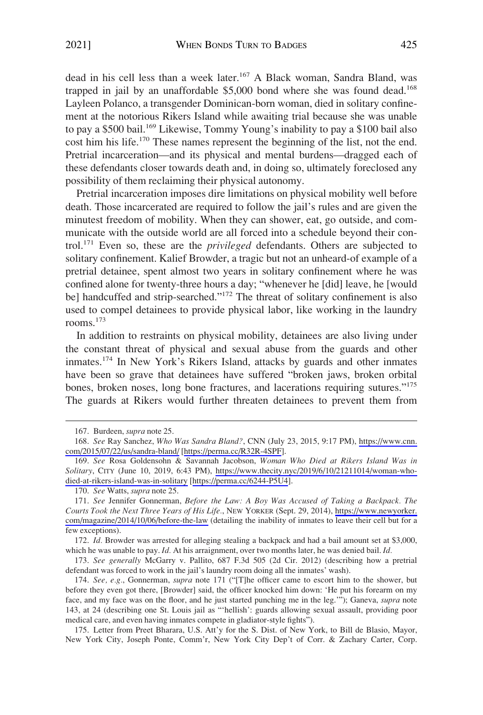dead in his cell less than a week later.<sup>167</sup> A Black woman, Sandra Bland, was trapped in jail by an unaffordable \$5,000 bond where she was found dead.<sup>168</sup> Layleen Polanco, a transgender Dominican-born woman, died in solitary confinement at the notorious Rikers Island while awaiting trial because she was unable to pay a \$500 bail.<sup>169</sup> Likewise, Tommy Young's inability to pay a \$100 bail also cost him his life.170 These names represent the beginning of the list, not the end. Pretrial incarceration—and its physical and mental burdens—dragged each of these defendants closer towards death and, in doing so, ultimately foreclosed any possibility of them reclaiming their physical autonomy.

Pretrial incarceration imposes dire limitations on physical mobility well before death. Those incarcerated are required to follow the jail's rules and are given the minutest freedom of mobility. When they can shower, eat, go outside, and communicate with the outside world are all forced into a schedule beyond their control.171 Even so, these are the *privileged* defendants. Others are subjected to solitary confinement. Kalief Browder, a tragic but not an unheard-of example of a pretrial detainee, spent almost two years in solitary confinement where he was confined alone for twenty-three hours a day; "whenever he [did] leave, he [would be] handcuffed and strip-searched."<sup>172</sup> The threat of solitary confinement is also used to compel detainees to provide physical labor, like working in the laundry rooms $173$ 

In addition to restraints on physical mobility, detainees are also living under the constant threat of physical and sexual abuse from the guards and other inmates.174 In New York's Rikers Island, attacks by guards and other inmates have been so grave that detainees have suffered "broken jaws, broken orbital bones, broken noses, long bone fractures, and lacerations requiring sutures."<sup>175</sup> The guards at Rikers would further threaten detainees to prevent them from

173. *See generally* McGarry v. Pallito, 687 F.3d 505 (2d Cir. 2012) (describing how a pretrial defendant was forced to work in the jail's laundry room doing all the inmates' wash).

<sup>167.</sup> Burdeen, *supra* note 25.

*See* Ray Sanchez, *Who Was Sandra Bland?*, CNN (July 23, 2015, 9:17 PM), [https://www.cnn.](https://www.cnn.com/2015/07/22/us/sandra-bland/)  168. [com/2015/07/22/us/sandra-bland/](https://www.cnn.com/2015/07/22/us/sandra-bland/) [\[https://perma.cc/R32R-4SPF](https://perma.cc/R32R-4SPF)].

*See* Rosa Goldensohn & Savannah Jacobson, *Woman Who Died at Rikers Island Was in*  169. *Solitary*, CITY (June 10, 2019, 6:43 PM), [https://www.thecity.nyc/2019/6/10/21211014/woman-who](https://www.thecity.nyc/2019/6/10/21211014/woman-who-died-at-rikers-island-was-in-solitary)[died-at-rikers-island-was-in-solitary](https://www.thecity.nyc/2019/6/10/21211014/woman-who-died-at-rikers-island-was-in-solitary) [[https://perma.cc/6244-P5U4\]](https://perma.cc/6244-P5U4).

<sup>170.</sup> *See* Watts, *supra* note 25.

<sup>171.</sup> See Jennifer Gonnerman, *Before the Law: A Boy Was Accused of Taking a Backpack*. The *Courts Took the Next Three Years of His Life.*, NEW YORKER (Sept. 29, 2014), [https://www.newyorker.](https://www.newyorker.com/magazine/2014/10/06/before-the-law)  [com/magazine/2014/10/06/before-the-law](https://www.newyorker.com/magazine/2014/10/06/before-the-law) (detailing the inability of inmates to leave their cell but for a few exceptions).

<sup>172.</sup> *Id.* Browder was arrested for alleging stealing a backpack and had a bail amount set at \$3,000, which he was unable to pay. *Id.* At his arraignment, over two months later, he was denied bail. *Id.* 

<sup>174.</sup> *See, e.g.*, Gonnerman, *supra* note 171 ("[T]he officer came to escort him to the shower, but before they even got there, [Browder] said, the officer knocked him down: 'He put his forearm on my face, and my face was on the floor, and he just started punching me in the leg.'"); Ganeva, *supra* note 143, at 24 (describing one St. Louis jail as "'hellish': guards allowing sexual assault, providing poor medical care, and even having inmates compete in gladiator-style fights").

<sup>175.</sup> Letter from Preet Bharara, U.S. Att'y for the S. Dist. of New York, to Bill de Blasio, Mayor, New York City, Joseph Ponte, Comm'r, New York City Dep't of Corr. & Zachary Carter, Corp.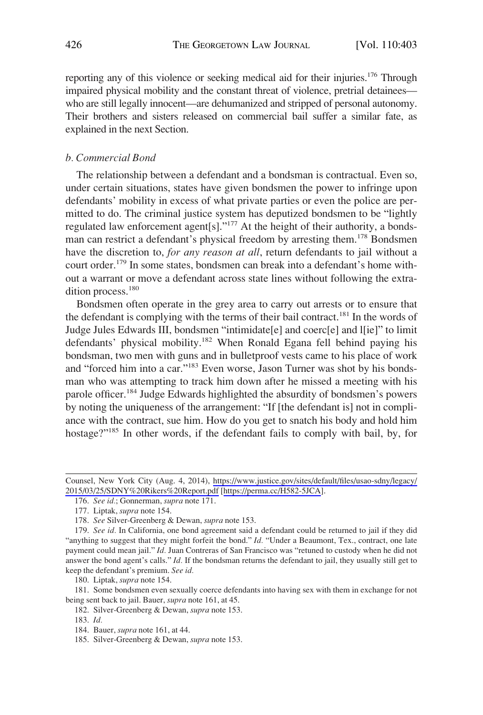<span id="page-23-0"></span>reporting any of this violence or seeking medical aid for their injuries.<sup>176</sup> Through impaired physical mobility and the constant threat of violence, pretrial detainees who are still legally innocent—are dehumanized and stripped of personal autonomy. Their brothers and sisters released on commercial bail suffer a similar fate, as explained in the next Section.

## *b. Commercial Bond*

The relationship between a defendant and a bondsman is contractual. Even so, under certain situations, states have given bondsmen the power to infringe upon defendants' mobility in excess of what private parties or even the police are permitted to do. The criminal justice system has deputized bondsmen to be "lightly regulated law enforcement agent[s]."177 At the height of their authority, a bondsman can restrict a defendant's physical freedom by arresting them.<sup>178</sup> Bondsmen have the discretion to, *for any reason at all*, return defendants to jail without a court order.<sup>179</sup> In some states, bondsmen can break into a defendant's home without a warrant or move a defendant across state lines without following the extradition process.<sup>180</sup>

Bondsmen often operate in the grey area to carry out arrests or to ensure that the defendant is complying with the terms of their bail contract.<sup>181</sup> In the words of Judge Jules Edwards III, bondsmen "intimidate[e] and coerc[e] and l[ie]" to limit defendants' physical mobility.<sup>182</sup> When Ronald Egana fell behind paying his bondsman, two men with guns and in bulletproof vests came to his place of work and "forced him into a car."183 Even worse, Jason Turner was shot by his bondsman who was attempting to track him down after he missed a meeting with his parole officer.<sup>184</sup> Judge Edwards highlighted the absurdity of bondsmen's powers by noting the uniqueness of the arrangement: "If [the defendant is] not in compliance with the contract, sue him. How do you get to snatch his body and hold him hostage?"<sup>185</sup> In other words, if the defendant fails to comply with bail, by, for

Counsel, New York City (Aug. 4, 2014), https://www.justice.gov/sites/default/files/usao-sdny/legacy/ [2015/03/25/SDNY%20Rikers%20Report.pdf](https://www.justice.gov/sites/default/files/usao-sdny/legacy/2015/03/25/SDNY%20Rikers%20Report.pdf) [<https://perma.cc/H582-5JCA>].

<sup>176.</sup> *See id.*; Gonnerman, *supra* note 171.

<sup>177.</sup> Liptak, *supra* note 154.

<sup>178.</sup> *See* Silver-Greenberg & Dewan, *supra* note 153.

<sup>179.</sup> *See id.* In California, one bond agreement said a defendant could be returned to jail if they did "anything to suggest that they might forfeit the bond." *Id.* "Under a Beaumont, Tex., contract, one late payment could mean jail." *Id.* Juan Contreras of San Francisco was "retuned to custody when he did not answer the bond agent's calls." *Id.* If the bondsman returns the defendant to jail, they usually still get to keep the defendant's premium. *See id.* 

<sup>180.</sup> Liptak, *supra* note 154.

<sup>181.</sup> Some bondsmen even sexually coerce defendants into having sex with them in exchange for not being sent back to jail. Bauer, *supra* note 161, at 45.

<sup>182.</sup> Silver-Greenberg & Dewan, *supra* note 153.

<sup>183.</sup> *Id.* 

<sup>184.</sup> Bauer, *supra* note 161, at 44.

<sup>185.</sup> Silver-Greenberg & Dewan, *supra* note 153.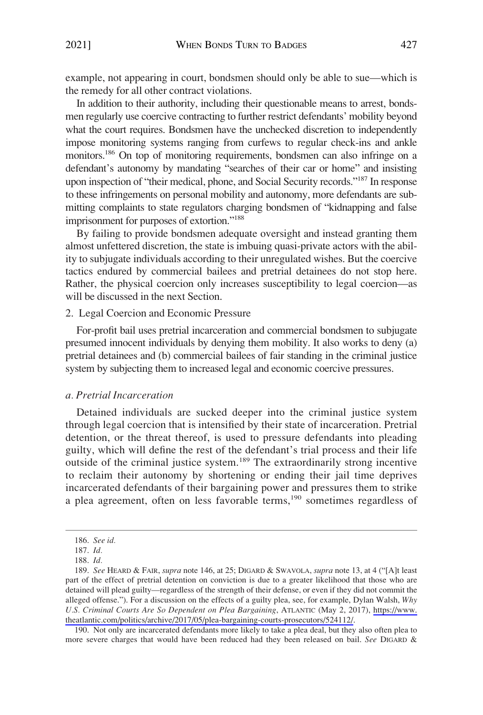<span id="page-24-0"></span>example, not appearing in court, bondsmen should only be able to sue—which is the remedy for all other contract violations.

In addition to their authority, including their questionable means to arrest, bondsmen regularly use coercive contracting to further restrict defendants' mobility beyond what the court requires. Bondsmen have the unchecked discretion to independently impose monitoring systems ranging from curfews to regular check-ins and ankle monitors.<sup>186</sup> On top of monitoring requirements, bondsmen can also infringe on a defendant's autonomy by mandating "searches of their car or home" and insisting upon inspection of "their medical, phone, and Social Security records."187 In response to these infringements on personal mobility and autonomy, more defendants are submitting complaints to state regulators charging bondsmen of "kidnapping and false imprisonment for purposes of extortion."<sup>188</sup>

By failing to provide bondsmen adequate oversight and instead granting them almost unfettered discretion, the state is imbuing quasi-private actors with the ability to subjugate individuals according to their unregulated wishes. But the coercive tactics endured by commercial bailees and pretrial detainees do not stop here. Rather, the physical coercion only increases susceptibility to legal coercion—as will be discussed in the next Section.

## 2. Legal Coercion and Economic Pressure

For-profit bail uses pretrial incarceration and commercial bondsmen to subjugate presumed innocent individuals by denying them mobility. It also works to deny (a) pretrial detainees and (b) commercial bailees of fair standing in the criminal justice system by subjecting them to increased legal and economic coercive pressures.

## *a. Pretrial Incarceration*

Detained individuals are sucked deeper into the criminal justice system through legal coercion that is intensified by their state of incarceration. Pretrial detention, or the threat thereof, is used to pressure defendants into pleading guilty, which will define the rest of the defendant's trial process and their life outside of the criminal justice system.<sup>189</sup> The extraordinarily strong incentive to reclaim their autonomy by shortening or ending their jail time deprives incarcerated defendants of their bargaining power and pressures them to strike a plea agreement, often on less favorable terms,190 sometimes regardless of

190. Not only are incarcerated defendants more likely to take a plea deal, but they also often plea to more severe charges that would have been reduced had they been released on bail. *See* DIGARD &

<sup>186.</sup> *See id.* 

<sup>187.</sup> *Id.* 

<sup>188.</sup> *Id.* 

*See* HEARD & FAIR, *supra* note 146, at 25; DIGARD & SWAVOLA, *supra* note 13, at 4 ("[A]t least 189. part of the effect of pretrial detention on conviction is due to a greater likelihood that those who are detained will plead guilty—regardless of the strength of their defense, or even if they did not commit the alleged offense."). For a discussion on the effects of a guilty plea, see, for example, Dylan Walsh, *Why U.S. Criminal Courts Are So Dependent on Plea Bargaining*, ATLANTIC (May 2, 2017), [https://www.](https://www.theatlantic.com/politics/archive/2017/05/plea-bargaining-courts-prosecutors/524112/)  [theatlantic.com/politics/archive/2017/05/plea-bargaining-courts-prosecutors/524112/.](https://www.theatlantic.com/politics/archive/2017/05/plea-bargaining-courts-prosecutors/524112/)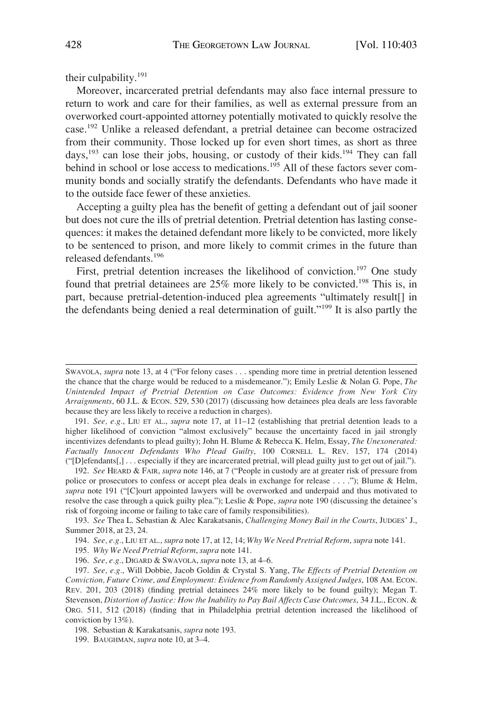their culpability.191

Moreover, incarcerated pretrial defendants may also face internal pressure to return to work and care for their families, as well as external pressure from an overworked court-appointed attorney potentially motivated to quickly resolve the case.192 Unlike a released defendant, a pretrial detainee can become ostracized from their community. Those locked up for even short times, as short as three days,<sup>193</sup> can lose their jobs, housing, or custody of their kids.<sup>194</sup> They can fall behind in school or lose access to medications.<sup>195</sup> All of these factors sever community bonds and socially stratify the defendants. Defendants who have made it to the outside face fewer of these anxieties.

Accepting a guilty plea has the benefit of getting a defendant out of jail sooner but does not cure the ills of pretrial detention. Pretrial detention has lasting consequences: it makes the detained defendant more likely to be convicted, more likely to be sentenced to prison, and more likely to commit crimes in the future than released defendants.<sup>196</sup>

First, pretrial detention increases the likelihood of conviction.<sup>197</sup> One study found that pretrial detainees are  $25\%$  more likely to be convicted.<sup>198</sup> This is, in part, because pretrial-detention-induced plea agreements "ultimately result[] in the defendants being denied a real determination of guilt."199 It is also partly the

SWAVOLA, *supra* note 13, at 4 ("For felony cases . . . spending more time in pretrial detention lessened the chance that the charge would be reduced to a misdemeanor."); Emily Leslie & Nolan G. Pope, *The Unintended Impact of Pretrial Detention on Case Outcomes: Evidence from New York City Arraignments*, 60 J.L. & ECON. 529, 530 (2017) (discussing how detainees plea deals are less favorable because they are less likely to receive a reduction in charges).

<sup>191.</sup> *See, e.g.*, LIU ET AL., *supra* note 17, at 11–12 (establishing that pretrial detention leads to a higher likelihood of conviction "almost exclusively" because the uncertainty faced in jail strongly incentivizes defendants to plead guilty); John H. Blume & Rebecca K. Helm, Essay, *The Unexonerated: Factually Innocent Defendants Who Plead Guilty*, 100 CORNELL L. REV. 157, 174 (2014) ("[D]efendants[,] . . . especially if they are incarcerated pretrial, will plead guilty just to get out of jail.").

<sup>192.</sup> *See* HEARD & FAIR, *supra* note 146, at 7 ("People in custody are at greater risk of pressure from police or prosecutors to confess or accept plea deals in exchange for release . . . ."); Blume & Helm, *supra* note 191 ("[C]ourt appointed lawyers will be overworked and underpaid and thus motivated to resolve the case through a quick guilty plea."); Leslie & Pope, *supra* note 190 (discussing the detainee's risk of forgoing income or failing to take care of family responsibilities).

<sup>193.</sup> *See* Thea L. Sebastian & Alec Karakatsanis, *Challenging Money Bail in the Courts*, JUDGES' J., Summer 2018, at 23, 24.

<sup>194.</sup> *See, e.g.*, LIU ET AL., *supra* note 17, at 12, 14; *Why We Need Pretrial Reform*, *supra* note 141.

<sup>195.</sup> *Why We Need Pretrial Reform*, *supra* note 141.

<sup>196.</sup> *See, e.g.*, DIGARD & SWAVOLA, *supra* note 13, at 4–6.

<sup>197.</sup> *See, e.g.*, Will Dobbie, Jacob Goldin & Crystal S. Yang, *The Effects of Pretrial Detention on Conviction, Future Crime, and Employment: Evidence from Randomly Assigned Judges*, 108 AM. ECON. REV. 201, 203 (2018) (finding pretrial detainees 24% more likely to be found guilty); Megan T. Stevenson, *Distortion of Justice: How the Inability to Pay Bail Affects Case Outcomes*, 34 J.L., ECON. & ORG. 511, 512 (2018) (finding that in Philadelphia pretrial detention increased the likelihood of conviction by 13%).

<sup>198.</sup> Sebastian & Karakatsanis, *supra* note 193.

<sup>199.</sup> BAUGHMAN, *supra* note 10, at 3–4.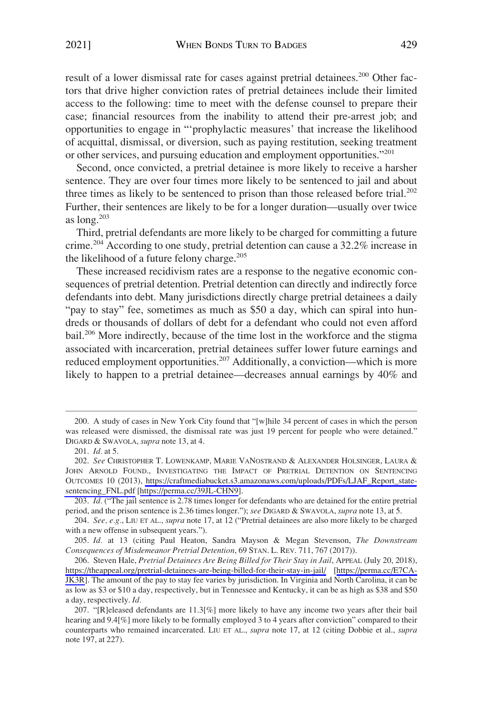result of a lower dismissal rate for cases against pretrial detainees.<sup>200</sup> Other factors that drive higher conviction rates of pretrial detainees include their limited access to the following: time to meet with the defense counsel to prepare their case; financial resources from the inability to attend their pre-arrest job; and opportunities to engage in "'prophylactic measures' that increase the likelihood of acquittal, dismissal, or diversion, such as paying restitution, seeking treatment or other services, and pursuing education and employment opportunities."<sup>201</sup>

Second, once convicted, a pretrial detainee is more likely to receive a harsher sentence. They are over four times more likely to be sentenced to jail and about three times as likely to be sentenced to prison than those released before trial.<sup>202</sup> Further, their sentences are likely to be for a longer duration—usually over twice as  $long.^{203}$ 

Third, pretrial defendants are more likely to be charged for committing a future crime.204 According to one study, pretrial detention can cause a 32.2% increase in the likelihood of a future felony charge.<sup>205</sup>

These increased recidivism rates are a response to the negative economic consequences of pretrial detention. Pretrial detention can directly and indirectly force defendants into debt. Many jurisdictions directly charge pretrial detainees a daily "pay to stay" fee, sometimes as much as \$50 a day, which can spiral into hundreds or thousands of dollars of debt for a defendant who could not even afford bail.206 More indirectly, because of the time lost in the workforce and the stigma associated with incarceration, pretrial detainees suffer lower future earnings and reduced employment opportunities.<sup>207</sup> Additionally, a conviction—which is more likely to happen to a pretrial detainee—decreases annual earnings by 40% and

<sup>200.</sup> A study of cases in New York City found that "[w]hile 34 percent of cases in which the person was released were dismissed, the dismissal rate was just 19 percent for people who were detained." DIGARD & SWAVOLA, *supra* note 13, at 4.

<sup>201.</sup> *Id.* at 5.

*See* CHRISTOPHER T. LOWENKAMP, MARIE VANOSTRAND & ALEXANDER HOLSINGER, LAURA & 202. JOHN ARNOLD FOUND., INVESTIGATING THE IMPACT OF PRETRIAL DETENTION ON SENTENCING OUTCOMES 10 (2013), [https://craftmediabucket.s3.amazonaws.com/uploads/PDFs/LJAF\\_Report\\_state](https://craftmediabucket.s3.amazonaws.com/uploads/PDFs/LJAF_Report_statesentencing__FNL_pdf)[sentencing\\_FNL.pdf](https://craftmediabucket.s3.amazonaws.com/uploads/PDFs/LJAF_Report_statesentencing__FNL_pdf) [[https://perma.cc/39JL-CHN9\]](https://perma.cc/39JL-CHN9).

<sup>203.</sup> *Id.* ("The jail sentence is 2.78 times longer for defendants who are detained for the entire pretrial period, and the prison sentence is 2.36 times longer."); *see* DIGARD & SWAVOLA, *supra* note 13, at 5.

<sup>204.</sup> *See, e.g.*, LIU ET AL., *supra* note 17, at 12 ("Pretrial detainees are also more likely to be charged with a new offense in subsequent years.").

<sup>205.</sup> *Id.* at 13 (citing Paul Heaton, Sandra Mayson & Megan Stevenson, *The Downstream Consequences of Misdemeanor Pretrial Detention*, 69 STAN. L. REV. 711, 767 (2017)).

<sup>206.</sup> Steven Hale, *Pretrial Detainees Are Being Billed for Their Stay in Jail*, APPEAL (July 20, 2018), <https://theappeal.org/pretrial-detainees-are-being-billed-for-their-stay-in-jail/> [[https://perma.cc/E7CA-](https://perma.cc/E7CA-JK3R)[JK3R](https://perma.cc/E7CA-JK3R)]. The amount of the pay to stay fee varies by jurisdiction. In Virginia and North Carolina, it can be as low as \$3 or \$10 a day, respectively, but in Tennessee and Kentucky, it can be as high as \$38 and \$50 a day, respectively. *Id.* 

<sup>207.</sup> "[R]eleased defendants are 11.3[%] more likely to have any income two years after their bail hearing and 9.4[%] more likely to be formally employed 3 to 4 years after conviction" compared to their counterparts who remained incarcerated. LIU ET AL., *supra* note 17, at 12 (citing Dobbie et al., *supra*  note 197, at 227).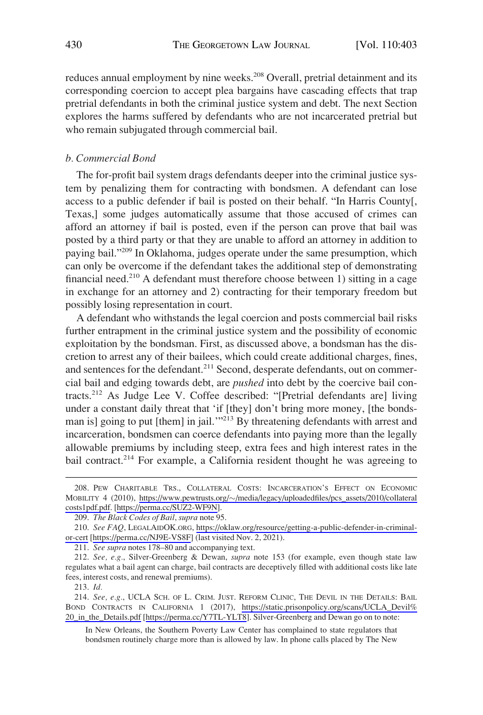<span id="page-27-0"></span>reduces annual employment by nine weeks.<sup>208</sup> Overall, pretrial detainment and its corresponding coercion to accept plea bargains have cascading effects that trap pretrial defendants in both the criminal justice system and debt. The next Section explores the harms suffered by defendants who are not incarcerated pretrial but who remain subjugated through commercial bail.

## *b. Commercial Bond*

The for-profit bail system drags defendants deeper into the criminal justice system by penalizing them for contracting with bondsmen. A defendant can lose access to a public defender if bail is posted on their behalf. "In Harris County[, Texas,] some judges automatically assume that those accused of crimes can afford an attorney if bail is posted, even if the person can prove that bail was posted by a third party or that they are unable to afford an attorney in addition to paying bail."209 In Oklahoma, judges operate under the same presumption, which can only be overcome if the defendant takes the additional step of demonstrating financial need.<sup>210</sup> A defendant must therefore choose between 1) sitting in a cage in exchange for an attorney and 2) contracting for their temporary freedom but possibly losing representation in court.

A defendant who withstands the legal coercion and posts commercial bail risks further entrapment in the criminal justice system and the possibility of economic exploitation by the bondsman. First, as discussed above, a bondsman has the discretion to arrest any of their bailees, which could create additional charges, fines, and sentences for the defendant.<sup>211</sup> Second, desperate defendants, out on commercial bail and edging towards debt, are *pushed* into debt by the coercive bail contracts.212 As Judge Lee V. Coffee described: "[Pretrial defendants are] living under a constant daily threat that 'if [they] don't bring more money, [the bondsman is] going to put [them] in jail.'"213 By threatening defendants with arrest and incarceration, bondsmen can coerce defendants into paying more than the legally allowable premiums by including steep, extra fees and high interest rates in the bail contract.<sup>214</sup> For example, a California resident thought he was agreeing to

211. *See supra* notes 178–80 and accompanying text.

213. *Id.* 

214. See, e.g., UCLA SCH. OF L. CRIM. JUST. REFORM CLINIC, THE DEVIL IN THE DETAILS: BAIL BOND CONTRACTS IN CALIFORNIA 1 (2017), [https://static.prisonpolicy.org/scans/UCLA\\_Devil%](https://static.prisonpolicy.org/scans/UCLA_Devil%20_in_the_Details.pdf)  [20\\_in\\_the\\_Details.pdf](https://static.prisonpolicy.org/scans/UCLA_Devil%20_in_the_Details.pdf) [<https://perma.cc/Y7TL-YLT8>]. Silver-Greenberg and Dewan go on to note:

In New Orleans, the Southern Poverty Law Center has complained to state regulators that bondsmen routinely charge more than is allowed by law. In phone calls placed by The New

<sup>208.</sup> PEW CHARITABLE TRS., COLLATERAL COSTS: INCARCERATION'S EFFECT ON ECONOMIC MOBILITY 4 (2010), https://www.pewtrusts.org/~/media/legacy/uploadedfiles/pcs\_assets/2010/collateral [costs1pdf.pdf.](https://www.pewtrusts.org/~/media/legacy/uploadedfiles/pcs_assets/2010/collateralcosts1pdf.pdf) [[https://perma.cc/SUZ2-WF9N\]](https://perma.cc/SUZ2-WF9N).

<sup>209.</sup> *The Black Codes of Bail*, *supra* note 95.

*See FAQ*, LEGALAIDOK.ORG, [https://oklaw.org/resource/getting-a-public-defender-in-criminal-](https://oklaw.org/resource/getting-a-public-defender-in-criminal-or-cert)210. [or-cert](https://oklaw.org/resource/getting-a-public-defender-in-criminal-or-cert) [\[https://perma.cc/NJ9E-VS8F\]](https://perma.cc/NJ9E-VS8F) (last visited Nov. 2, 2021).

<sup>212.</sup> *See, e.g.*, Silver-Greenberg & Dewan, *supra* note 153 (for example, even though state law regulates what a bail agent can charge, bail contracts are deceptively filled with additional costs like late fees, interest costs, and renewal premiums).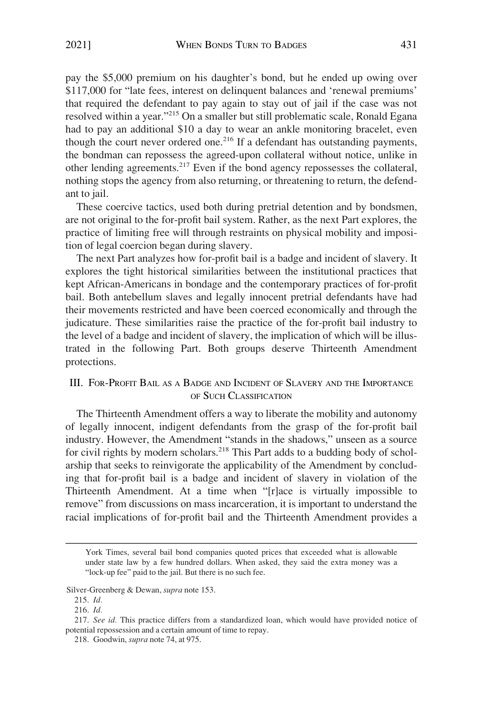<span id="page-28-0"></span>pay the \$5,000 premium on his daughter's bond, but he ended up owing over \$117,000 for "late fees, interest on delinquent balances and 'renewal premiums' that required the defendant to pay again to stay out of jail if the case was not resolved within a year."215 On a smaller but still problematic scale, Ronald Egana had to pay an additional \$10 a day to wear an ankle monitoring bracelet, even though the court never ordered one.<sup>216</sup> If a defendant has outstanding payments, the bondman can repossess the agreed-upon collateral without notice, unlike in other lending agreements.217 Even if the bond agency repossesses the collateral, nothing stops the agency from also returning, or threatening to return, the defendant to jail.

These coercive tactics, used both during pretrial detention and by bondsmen, are not original to the for-profit bail system. Rather, as the next Part explores, the practice of limiting free will through restraints on physical mobility and imposition of legal coercion began during slavery.

The next Part analyzes how for-profit bail is a badge and incident of slavery. It explores the tight historical similarities between the institutional practices that kept African-Americans in bondage and the contemporary practices of for-profit bail. Both antebellum slaves and legally innocent pretrial defendants have had their movements restricted and have been coerced economically and through the judicature. These similarities raise the practice of the for-profit bail industry to the level of a badge and incident of slavery, the implication of which will be illustrated in the following Part. Both groups deserve Thirteenth Amendment protections.

## III. FOR-PROFIT BAIL AS A BADGE AND INCIDENT OF SLAVERY AND THE IMPORTANCE OF SUCH CLASSIFICATION

The Thirteenth Amendment offers a way to liberate the mobility and autonomy of legally innocent, indigent defendants from the grasp of the for-profit bail industry. However, the Amendment "stands in the shadows," unseen as a source for civil rights by modern scholars.<sup>218</sup> This Part adds to a budding body of scholarship that seeks to reinvigorate the applicability of the Amendment by concluding that for-profit bail is a badge and incident of slavery in violation of the Thirteenth Amendment. At a time when "[r]ace is virtually impossible to remove" from discussions on mass incarceration, it is important to understand the racial implications of for-profit bail and the Thirteenth Amendment provides a

York Times, several bail bond companies quoted prices that exceeded what is allowable under state law by a few hundred dollars. When asked, they said the extra money was a "lock-up fee" paid to the jail. But there is no such fee.

Silver-Greenberg & Dewan, *supra* note 153.

<sup>215.</sup> *Id.* 

<sup>216.</sup> *Id.* 

<sup>217.</sup> *See id.* This practice differs from a standardized loan, which would have provided notice of potential repossession and a certain amount of time to repay.

<sup>218.</sup> Goodwin, *supra* note 74, at 975.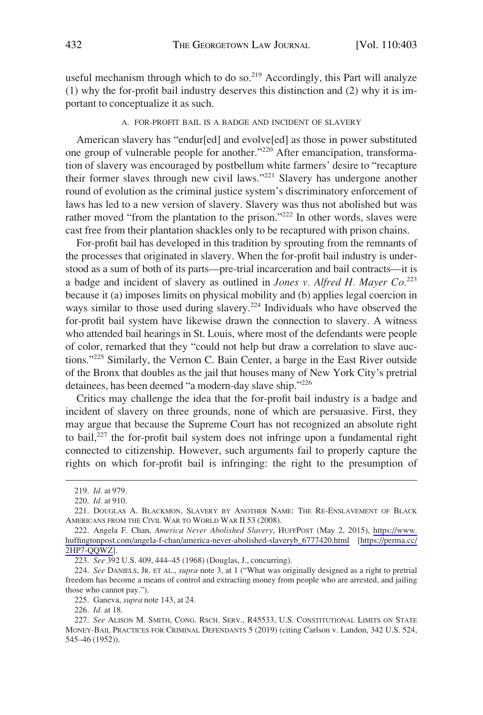<span id="page-29-0"></span>useful mechanism through which to do so.<sup>219</sup> Accordingly, this Part will analyze (1) why the for-profit bail industry deserves this distinction and (2) why it is important to conceptualize it as such.

#### A. FOR-PROFIT BAIL IS A BADGE AND INCIDENT OF SLAVERY

American slavery has "endur[ed] and evolve[ed] as those in power substituted one group of vulnerable people for another."220 After emancipation, transformation of slavery was encouraged by postbellum white farmers' desire to "recapture their former slaves through new civil laws."221 Slavery has undergone another round of evolution as the criminal justice system's discriminatory enforcement of laws has led to a new version of slavery. Slavery was thus not abolished but was rather moved "from the plantation to the prison."<sup>222</sup> In other words, slaves were cast free from their plantation shackles only to be recaptured with prison chains.

For-profit bail has developed in this tradition by sprouting from the remnants of the processes that originated in slavery. When the for-profit bail industry is understood as a sum of both of its parts—pre-trial incarceration and bail contracts—it is a badge and incident of slavery as outlined in *Jones v. Alfred H. Mayer Co.*<sup>223</sup> because it (a) imposes limits on physical mobility and (b) applies legal coercion in ways similar to those used during slavery.<sup>224</sup> Individuals who have observed the for-profit bail system have likewise drawn the connection to slavery. A witness who attended bail hearings in St. Louis, where most of the defendants were people of color, remarked that they "could not help but draw a correlation to slave auctions."225 Similarly, the Vernon C. Bain Center, a barge in the East River outside of the Bronx that doubles as the jail that houses many of New York City's pretrial detainees, has been deemed "a modern-day slave ship."<sup>226</sup>

Critics may challenge the idea that the for-profit bail industry is a badge and incident of slavery on three grounds, none of which are persuasive. First, they may argue that because the Supreme Court has not recognized an absolute right to bail,<sup>227</sup> the for-profit bail system does not infringe upon a fundamental right connected to citizenship. However, such arguments fail to properly capture the rights on which for-profit bail is infringing: the right to the presumption of

<sup>219.</sup> *Id.* at 979.

<sup>220.</sup> *Id.* at 910.

<sup>221.</sup> DOUGLAS A. BLACKMON, SLAVERY BY ANOTHER NAME: THE RE-ENSLAVEMENT OF BLACK AMERICANS FROM THE CIVIL WAR TO WORLD WAR II 53 (2008).

<sup>222.</sup> Angela F. Chan, America Never Abolished Slavery, HUFFPOST (May 2, 2015), https://www. [huffingtonpost.com/angela-f-chan/america-never-abolished-slaveryb\\_6777420.html](https://www.huffingtonpost.com/angela-f-chan/america-never-abolished-slaveryb_6777420.html) [[https://perma.cc/](https://perma.cc/2HP7-QQWZ)  [2HP7-QQWZ\]](https://perma.cc/2HP7-QQWZ).

<sup>223.</sup> *See* 392 U.S. 409, 444–45 (1968) (Douglas, J., concurring).

<sup>224.</sup> *See* DANIELS, JR. ET AL., *supra* note 3, at 1 ("What was originally designed as a right to pretrial freedom has become a means of control and extracting money from people who are arrested, and jailing those who cannot pay.").

<sup>225.</sup> Ganeva, *supra* note 143, at 24.

<sup>226.</sup> *Id.* at 18.

<sup>227.</sup> *See* ALISON M. SMITH, CONG. RSCH. SERV., R45533, U.S. CONSTITUTIONAL LIMITS ON STATE MONEY-BAIL PRACTICES FOR CRIMINAL DEFENDANTS 5 (2019) (citing Carlson v. Landon, 342 U.S. 524, 545–46 (1952)).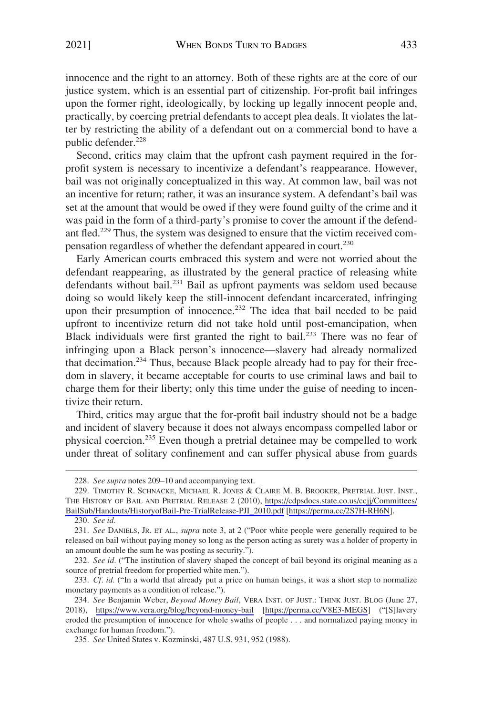innocence and the right to an attorney. Both of these rights are at the core of our justice system, which is an essential part of citizenship. For-profit bail infringes upon the former right, ideologically, by locking up legally innocent people and, practically, by coercing pretrial defendants to accept plea deals. It violates the latter by restricting the ability of a defendant out on a commercial bond to have a public defender.<sup>228</sup>

Second, critics may claim that the upfront cash payment required in the forprofit system is necessary to incentivize a defendant's reappearance. However, bail was not originally conceptualized in this way. At common law, bail was not an incentive for return; rather, it was an insurance system. A defendant's bail was set at the amount that would be owed if they were found guilty of the crime and it was paid in the form of a third-party's promise to cover the amount if the defendant fled.<sup>229</sup> Thus, the system was designed to ensure that the victim received compensation regardless of whether the defendant appeared in court.230

Early American courts embraced this system and were not worried about the defendant reappearing, as illustrated by the general practice of releasing white defendants without bail.<sup>231</sup> Bail as upfront payments was seldom used because doing so would likely keep the still-innocent defendant incarcerated, infringing upon their presumption of innocence.<sup>232</sup> The idea that bail needed to be paid upfront to incentivize return did not take hold until post-emancipation, when Black individuals were first granted the right to bail.<sup>233</sup> There was no fear of infringing upon a Black person's innocence—slavery had already normalized that decimation.<sup>234</sup> Thus, because Black people already had to pay for their freedom in slavery, it became acceptable for courts to use criminal laws and bail to charge them for their liberty; only this time under the guise of needing to incentivize their return.

Third, critics may argue that the for-profit bail industry should not be a badge and incident of slavery because it does not always encompass compelled labor or physical coercion.235 Even though a pretrial detainee may be compelled to work under threat of solitary confinement and can suffer physical abuse from guards

230. *See id.* 

<sup>228.</sup> *See supra* notes 209–10 and accompanying text.

<sup>229.</sup> TIMOTHY R. SCHNACKE, MICHAEL R. JONES & CLAIRE M. B. BROOKER, PRETRIAL JUST. INST., THE HISTORY OF BAIL AND PRETRIAL RELEASE 2 (2010), [https://cdpsdocs.state.co.us/ccjj/Committees/](https://cdpsdocs.state.co.us/ccjj/Committees/BailSub/Handouts/HistoryofBail-Pre-TrialRelease-PJI_2010.pdf)  [BailSub/Handouts/HistoryofBail-Pre-TrialRelease-PJI\\_2010.pdf](https://cdpsdocs.state.co.us/ccjj/Committees/BailSub/Handouts/HistoryofBail-Pre-TrialRelease-PJI_2010.pdf) [<https://perma.cc/2S7H-RH6N>].

<sup>231.</sup> *See* DANIELS, JR. ET AL., *supra* note 3, at 2 ("Poor white people were generally required to be released on bail without paying money so long as the person acting as surety was a holder of property in an amount double the sum he was posting as security.").

<sup>232.</sup> *See id.* ("The institution of slavery shaped the concept of bail beyond its original meaning as a source of pretrial freedom for propertied white men.").

<sup>233.</sup> *Cf. id.* ("In a world that already put a price on human beings, it was a short step to normalize monetary payments as a condition of release.").

*See* Benjamin Weber, *Beyond Money Bail*, VERA INST. OF JUST.: THINK JUST. BLOG (June 27, 234. 2018), <https://www.vera.org/blog/beyond-money-bail>[<https://perma.cc/V8E3-MEGS>] ("[S]lavery eroded the presumption of innocence for whole swaths of people . . . and normalized paying money in exchange for human freedom.").

<sup>235.</sup> *See* United States v. Kozminski, 487 U.S. 931, 952 (1988).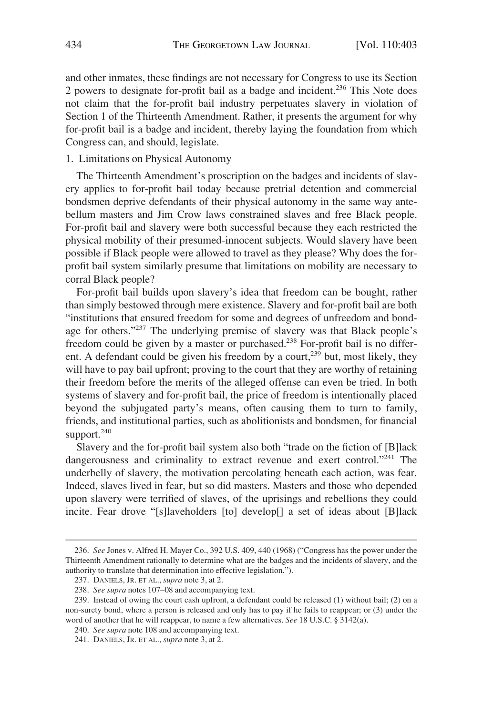<span id="page-31-0"></span>and other inmates, these findings are not necessary for Congress to use its Section 2 powers to designate for-profit bail as a badge and incident.<sup>236</sup> This Note does not claim that the for-profit bail industry perpetuates slavery in violation of Section 1 of the Thirteenth Amendment. Rather, it presents the argument for why for-profit bail is a badge and incident, thereby laying the foundation from which Congress can, and should, legislate.

#### 1. Limitations on Physical Autonomy

The Thirteenth Amendment's proscription on the badges and incidents of slavery applies to for-profit bail today because pretrial detention and commercial bondsmen deprive defendants of their physical autonomy in the same way antebellum masters and Jim Crow laws constrained slaves and free Black people. For-profit bail and slavery were both successful because they each restricted the physical mobility of their presumed-innocent subjects. Would slavery have been possible if Black people were allowed to travel as they please? Why does the forprofit bail system similarly presume that limitations on mobility are necessary to corral Black people?

For-profit bail builds upon slavery's idea that freedom can be bought, rather than simply bestowed through mere existence. Slavery and for-profit bail are both "institutions that ensured freedom for some and degrees of unfreedom and bondage for others."<sup>237</sup> The underlying premise of slavery was that Black people's freedom could be given by a master or purchased.238 For-profit bail is no different. A defendant could be given his freedom by a court,<sup>239</sup> but, most likely, they will have to pay bail upfront; proving to the court that they are worthy of retaining their freedom before the merits of the alleged offense can even be tried. In both systems of slavery and for-profit bail, the price of freedom is intentionally placed beyond the subjugated party's means, often causing them to turn to family, friends, and institutional parties, such as abolitionists and bondsmen, for financial support. $240$ 

Slavery and the for-profit bail system also both "trade on the fiction of [B]lack dangerousness and criminality to extract revenue and exert control."<sup>241</sup> The underbelly of slavery, the motivation percolating beneath each action, was fear. Indeed, slaves lived in fear, but so did masters. Masters and those who depended upon slavery were terrified of slaves, of the uprisings and rebellions they could incite. Fear drove "[s]laveholders [to] develop[] a set of ideas about [B]lack

<sup>236.</sup> *See* Jones v. Alfred H. Mayer Co., 392 U.S. 409, 440 (1968) ("Congress has the power under the Thirteenth Amendment rationally to determine what are the badges and the incidents of slavery, and the authority to translate that determination into effective legislation.").

<sup>237.</sup> DANIELS, JR. ET AL., *supra* note 3, at 2.

<sup>238.</sup> *See supra* notes 107–08 and accompanying text.

<sup>239.</sup> Instead of owing the court cash upfront, a defendant could be released (1) without bail; (2) on a non-surety bond, where a person is released and only has to pay if he fails to reappear; or (3) under the word of another that he will reappear, to name a few alternatives. *See* 18 U.S.C. § 3142(a).

<sup>240.</sup> *See supra* note 108 and accompanying text.

<sup>241.</sup> DANIELS, JR. ET AL., *supra* note 3, at 2.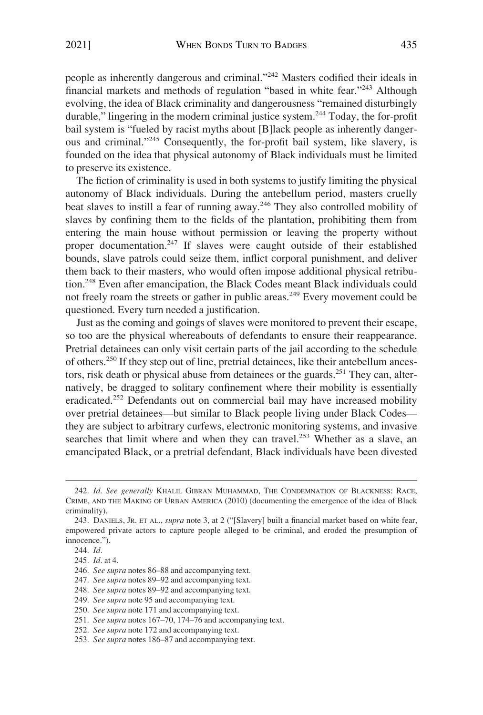people as inherently dangerous and criminal."242 Masters codified their ideals in financial markets and methods of regulation "based in white fear."243 Although evolving, the idea of Black criminality and dangerousness "remained disturbingly durable," lingering in the modern criminal justice system.<sup>244</sup> Today, the for-profit bail system is "fueled by racist myths about [B]lack people as inherently dangerous and criminal."245 Consequently, the for-profit bail system, like slavery, is founded on the idea that physical autonomy of Black individuals must be limited to preserve its existence.

The fiction of criminality is used in both systems to justify limiting the physical autonomy of Black individuals. During the antebellum period, masters cruelly beat slaves to instill a fear of running away.<sup>246</sup> They also controlled mobility of slaves by confining them to the fields of the plantation, prohibiting them from entering the main house without permission or leaving the property without proper documentation.<sup>247</sup> If slaves were caught outside of their established bounds, slave patrols could seize them, inflict corporal punishment, and deliver them back to their masters, who would often impose additional physical retribution.248 Even after emancipation, the Black Codes meant Black individuals could not freely roam the streets or gather in public areas.<sup>249</sup> Every movement could be questioned. Every turn needed a justification.

Just as the coming and goings of slaves were monitored to prevent their escape, so too are the physical whereabouts of defendants to ensure their reappearance. Pretrial detainees can only visit certain parts of the jail according to the schedule of others.250 If they step out of line, pretrial detainees, like their antebellum ancestors, risk death or physical abuse from detainees or the guards.<sup>251</sup> They can, alternatively, be dragged to solitary confinement where their mobility is essentially eradicated.<sup>252</sup> Defendants out on commercial bail may have increased mobility over pretrial detainees—but similar to Black people living under Black Codes they are subject to arbitrary curfews, electronic monitoring systems, and invasive searches that limit where and when they can travel.<sup>253</sup> Whether as a slave, an emancipated Black, or a pretrial defendant, Black individuals have been divested

<sup>242.</sup> *Id. See generally* KHALIL GIBRAN MUHAMMAD, THE CONDEMNATION OF BLACKNESS: RACE, CRIME, AND THE MAKING OF URBAN AMERICA (2010) (documenting the emergence of the idea of Black criminality).

<sup>243.</sup> DANIELS, JR. ET AL., *supra* note 3, at 2 ("[Slavery] built a financial market based on white fear, empowered private actors to capture people alleged to be criminal, and eroded the presumption of innocence.").

<sup>244.</sup> *Id.* 

<sup>245.</sup> *Id.* at 4.

<sup>246.</sup> *See supra* notes 86–88 and accompanying text.

<sup>247.</sup> *See supra* notes 89–92 and accompanying text.

<sup>248.</sup> *See supra* notes 89–92 and accompanying text.

<sup>249.</sup> *See supra* note 95 and accompanying text.

<sup>250.</sup> *See supra* note 171 and accompanying text.

<sup>251.</sup> *See supra* notes 167–70, 174–76 and accompanying text.

<sup>252.</sup> *See supra* note 172 and accompanying text.

<sup>253.</sup> *See supra* notes 186–87 and accompanying text.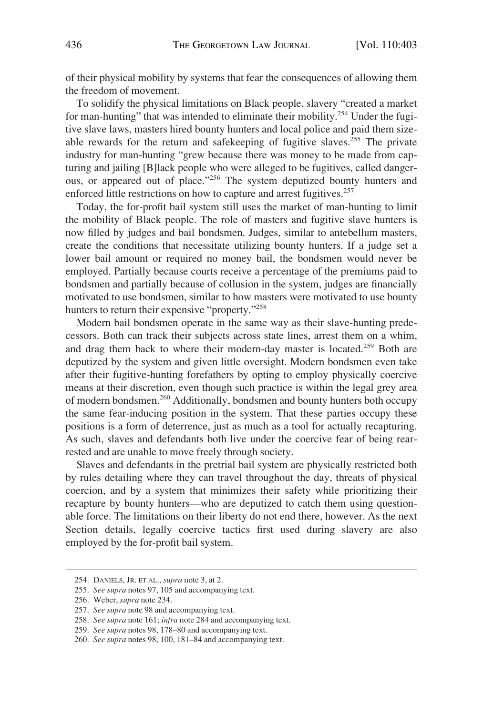of their physical mobility by systems that fear the consequences of allowing them the freedom of movement.

To solidify the physical limitations on Black people, slavery "created a market for man-hunting" that was intended to eliminate their mobility.254 Under the fugitive slave laws, masters hired bounty hunters and local police and paid them sizeable rewards for the return and safekeeping of fugitive slaves.<sup>255</sup> The private industry for man-hunting "grew because there was money to be made from capturing and jailing [B]lack people who were alleged to be fugitives, called dangerous, or appeared out of place."<sup>256</sup> The system deputized bounty hunters and enforced little restrictions on how to capture and arrest fugitives.<sup>257</sup>

Today, the for-profit bail system still uses the market of man-hunting to limit the mobility of Black people. The role of masters and fugitive slave hunters is now filled by judges and bail bondsmen. Judges, similar to antebellum masters, create the conditions that necessitate utilizing bounty hunters. If a judge set a lower bail amount or required no money bail, the bondsmen would never be employed. Partially because courts receive a percentage of the premiums paid to bondsmen and partially because of collusion in the system, judges are financially motivated to use bondsmen, similar to how masters were motivated to use bounty hunters to return their expensive "property."<sup>258</sup>

Modern bail bondsmen operate in the same way as their slave-hunting predecessors. Both can track their subjects across state lines, arrest them on a whim, and drag them back to where their modern-day master is located.<sup>259</sup> Both are deputized by the system and given little oversight. Modern bondsmen even take after their fugitive-hunting forefathers by opting to employ physically coercive means at their discretion, even though such practice is within the legal grey area of modern bondsmen.260 Additionally, bondsmen and bounty hunters both occupy the same fear-inducing position in the system. That these parties occupy these positions is a form of deterrence, just as much as a tool for actually recapturing. As such, slaves and defendants both live under the coercive fear of being rearrested and are unable to move freely through society.

Slaves and defendants in the pretrial bail system are physically restricted both by rules detailing where they can travel throughout the day, threats of physical coercion, and by a system that minimizes their safety while prioritizing their recapture by bounty hunters—who are deputized to catch them using questionable force. The limitations on their liberty do not end there, however. As the next Section details, legally coercive tactics first used during slavery are also employed by the for-profit bail system.

<sup>254.</sup> DANIELS, JR. ET AL., *supra* note 3, at 2.

<sup>255.</sup> *See supra* notes 97, 105 and accompanying text.

<sup>256.</sup> Weber, *supra* note 234.

<sup>257.</sup> *See supra* note 98 and accompanying text.

<sup>258.</sup> *See supra* note 161; *infra* note 284 and accompanying text.

<sup>259.</sup> *See supra* notes 98, 178–80 and accompanying text.

<sup>260.</sup> *See supra* notes 98, 100, 181–84 and accompanying text.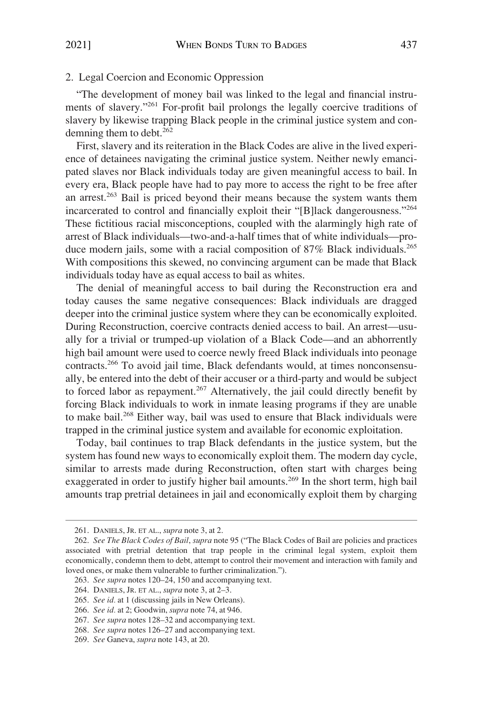## <span id="page-34-0"></span>2. Legal Coercion and Economic Oppression

"The development of money bail was linked to the legal and financial instruments of slavery."261 For-profit bail prolongs the legally coercive traditions of slavery by likewise trapping Black people in the criminal justice system and condemning them to debt. $262$ 

First, slavery and its reiteration in the Black Codes are alive in the lived experience of detainees navigating the criminal justice system. Neither newly emancipated slaves nor Black individuals today are given meaningful access to bail. In every era, Black people have had to pay more to access the right to be free after an arrest.263 Bail is priced beyond their means because the system wants them incarcerated to control and financially exploit their "[B]lack dangerousness."<sup>264</sup> These fictitious racial misconceptions, coupled with the alarmingly high rate of arrest of Black individuals—two-and-a-half times that of white individuals—produce modern jails, some with a racial composition of 87% Black individuals.<sup>265</sup> With compositions this skewed, no convincing argument can be made that Black individuals today have as equal access to bail as whites.

The denial of meaningful access to bail during the Reconstruction era and today causes the same negative consequences: Black individuals are dragged deeper into the criminal justice system where they can be economically exploited. During Reconstruction, coercive contracts denied access to bail. An arrest—usually for a trivial or trumped-up violation of a Black Code—and an abhorrently high bail amount were used to coerce newly freed Black individuals into peonage contracts.266 To avoid jail time, Black defendants would, at times nonconsensually, be entered into the debt of their accuser or a third-party and would be subject to forced labor as repayment.<sup>267</sup> Alternatively, the jail could directly benefit by forcing Black individuals to work in inmate leasing programs if they are unable to make bail.268 Either way, bail was used to ensure that Black individuals were trapped in the criminal justice system and available for economic exploitation.

Today, bail continues to trap Black defendants in the justice system, but the system has found new ways to economically exploit them. The modern day cycle, similar to arrests made during Reconstruction, often start with charges being exaggerated in order to justify higher bail amounts.<sup>269</sup> In the short term, high bail amounts trap pretrial detainees in jail and economically exploit them by charging

<sup>261.</sup> DANIELS, JR. ET AL., *supra* note 3, at 2.

<sup>262.</sup> *See The Black Codes of Bail*, *supra* note 95 ("The Black Codes of Bail are policies and practices associated with pretrial detention that trap people in the criminal legal system, exploit them economically, condemn them to debt, attempt to control their movement and interaction with family and loved ones, or make them vulnerable to further criminalization.").

<sup>263.</sup> *See supra* notes 120–24, 150 and accompanying text.

<sup>264.</sup> DANIELS, JR. ET AL., *supra* note 3, at 2–3.

<sup>265.</sup> *See id.* at 1 (discussing jails in New Orleans).

<sup>266.</sup> *See id.* at 2; Goodwin, *supra* note 74, at 946.

<sup>267.</sup> *See supra* notes 128–32 and accompanying text.

<sup>268.</sup> *See supra* notes 126–27 and accompanying text.

<sup>269.</sup> *See* Ganeva, *supra* note 143, at 20.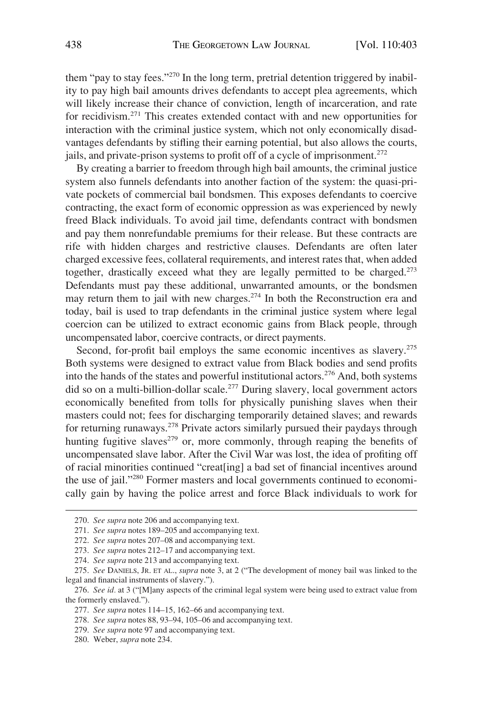them "pay to stay fees."<sup>270</sup> In the long term, pretrial detention triggered by inability to pay high bail amounts drives defendants to accept plea agreements, which will likely increase their chance of conviction, length of incarceration, and rate for recidivism.271 This creates extended contact with and new opportunities for interaction with the criminal justice system, which not only economically disadvantages defendants by stifling their earning potential, but also allows the courts, jails, and private-prison systems to profit off of a cycle of imprisonment.<sup>272</sup>

By creating a barrier to freedom through high bail amounts, the criminal justice system also funnels defendants into another faction of the system: the quasi-private pockets of commercial bail bondsmen. This exposes defendants to coercive contracting, the exact form of economic oppression as was experienced by newly freed Black individuals. To avoid jail time, defendants contract with bondsmen and pay them nonrefundable premiums for their release. But these contracts are rife with hidden charges and restrictive clauses. Defendants are often later charged excessive fees, collateral requirements, and interest rates that, when added together, drastically exceed what they are legally permitted to be charged.<sup>273</sup> Defendants must pay these additional, unwarranted amounts, or the bondsmen may return them to jail with new charges.274 In both the Reconstruction era and today, bail is used to trap defendants in the criminal justice system where legal coercion can be utilized to extract economic gains from Black people, through uncompensated labor, coercive contracts, or direct payments.

Second, for-profit bail employs the same economic incentives as slavery.<sup>275</sup> Both systems were designed to extract value from Black bodies and send profits into the hands of the states and powerful institutional actors.276 And, both systems did so on a multi-billion-dollar scale.<sup>277</sup> During slavery, local government actors economically benefited from tolls for physically punishing slaves when their masters could not; fees for discharging temporarily detained slaves; and rewards for returning runaways.278 Private actors similarly pursued their paydays through hunting fugitive slaves<sup> $279$ </sup> or, more commonly, through reaping the benefits of uncompensated slave labor. After the Civil War was lost, the idea of profiting off of racial minorities continued "creat[ing] a bad set of financial incentives around the use of jail."280 Former masters and local governments continued to economically gain by having the police arrest and force Black individuals to work for

280. Weber, *supra* note 234.

<sup>270.</sup> *See supra* note 206 and accompanying text.

<sup>271.</sup> *See supra* notes 189–205 and accompanying text.

<sup>272.</sup> *See supra* notes 207–08 and accompanying text.

<sup>273.</sup> *See supra* notes 212–17 and accompanying text.

<sup>274.</sup> *See supra* note 213 and accompanying text.

<sup>275.</sup> *See* DANIELS, JR. ET AL., *supra* note 3, at 2 ("The development of money bail was linked to the legal and financial instruments of slavery.").

<sup>276.</sup> *See id.* at 3 ("[M]any aspects of the criminal legal system were being used to extract value from the formerly enslaved.").

<sup>277.</sup> *See supra* notes 114–15, 162–66 and accompanying text.

<sup>278.</sup> *See supra* notes 88, 93–94, 105–06 and accompanying text.

<sup>279.</sup> *See supra* note 97 and accompanying text.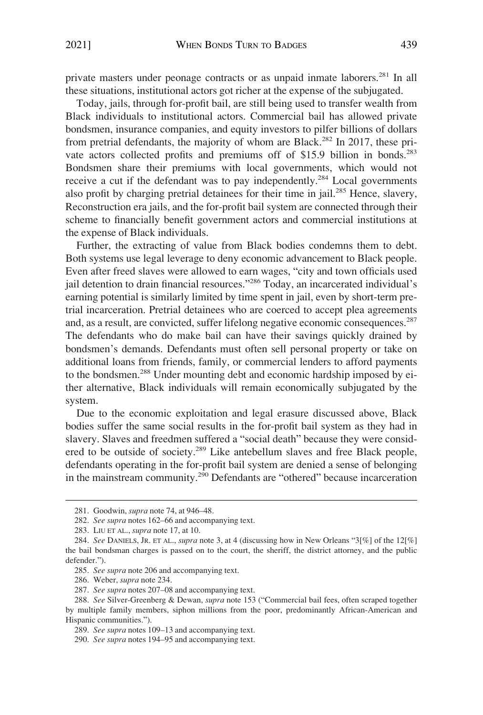private masters under peonage contracts or as unpaid inmate laborers.281 In all these situations, institutional actors got richer at the expense of the subjugated.

Today, jails, through for-profit bail, are still being used to transfer wealth from Black individuals to institutional actors. Commercial bail has allowed private bondsmen, insurance companies, and equity investors to pilfer billions of dollars from pretrial defendants, the majority of whom are Black.<sup>282</sup> In 2017, these private actors collected profits and premiums off of \$15.9 billion in bonds.<sup>283</sup> Bondsmen share their premiums with local governments, which would not receive a cut if the defendant was to pay independently.<sup>284</sup> Local governments also profit by charging pretrial detainees for their time in jail.<sup>285</sup> Hence, slavery, Reconstruction era jails, and the for-profit bail system are connected through their scheme to financially benefit government actors and commercial institutions at the expense of Black individuals.

Further, the extracting of value from Black bodies condemns them to debt. Both systems use legal leverage to deny economic advancement to Black people. Even after freed slaves were allowed to earn wages, "city and town officials used jail detention to drain financial resources."286 Today, an incarcerated individual's earning potential is similarly limited by time spent in jail, even by short-term pretrial incarceration. Pretrial detainees who are coerced to accept plea agreements and, as a result, are convicted, suffer lifelong negative economic consequences.287 The defendants who do make bail can have their savings quickly drained by bondsmen's demands. Defendants must often sell personal property or take on additional loans from friends, family, or commercial lenders to afford payments to the bondsmen.288 Under mounting debt and economic hardship imposed by either alternative, Black individuals will remain economically subjugated by the system.

Due to the economic exploitation and legal erasure discussed above, Black bodies suffer the same social results in the for-profit bail system as they had in slavery. Slaves and freedmen suffered a "social death" because they were considered to be outside of society.<sup>289</sup> Like antebellum slaves and free Black people, defendants operating in the for-profit bail system are denied a sense of belonging in the mainstream community.290 Defendants are "othered" because incarceration

<sup>281.</sup> Goodwin, *supra* note 74, at 946–48.

<sup>282.</sup> *See supra* notes 162–66 and accompanying text.

<sup>283.</sup> LIU ET AL., *supra* note 17, at 10.

<sup>284.</sup> *See* DANIELS, JR. ET AL., *supra* note 3, at 4 (discussing how in New Orleans "3[%] of the 12[%] the bail bondsman charges is passed on to the court, the sheriff, the district attorney, and the public defender.").

<sup>285.</sup> *See supra* note 206 and accompanying text.

<sup>286.</sup> Weber, *supra* note 234.

<sup>287.</sup> *See supra* notes 207–08 and accompanying text.

<sup>288.</sup> *See* Silver-Greenberg & Dewan, *supra* note 153 ("Commercial bail fees, often scraped together by multiple family members, siphon millions from the poor, predominantly African-American and Hispanic communities.").

<sup>289.</sup> *See supra* notes 109–13 and accompanying text.

<sup>290.</sup> *See supra* notes 194–95 and accompanying text.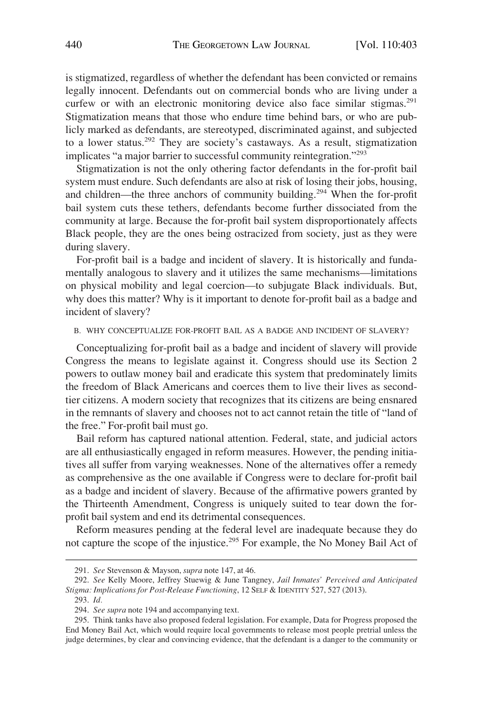<span id="page-37-0"></span>is stigmatized, regardless of whether the defendant has been convicted or remains legally innocent. Defendants out on commercial bonds who are living under a curfew or with an electronic monitoring device also face similar stigmas.<sup>291</sup> Stigmatization means that those who endure time behind bars, or who are publicly marked as defendants, are stereotyped, discriminated against, and subjected to a lower status.<sup>292</sup> They are society's castaways. As a result, stigmatization implicates "a major barrier to successful community reintegration."<sup>293</sup>

Stigmatization is not the only othering factor defendants in the for-profit bail system must endure. Such defendants are also at risk of losing their jobs, housing, and children—the three anchors of community building.294 When the for-profit bail system cuts these tethers, defendants become further dissociated from the community at large. Because the for-profit bail system disproportionately affects Black people, they are the ones being ostracized from society, just as they were during slavery.

For-profit bail is a badge and incident of slavery. It is historically and fundamentally analogous to slavery and it utilizes the same mechanisms—limitations on physical mobility and legal coercion—to subjugate Black individuals. But, why does this matter? Why is it important to denote for-profit bail as a badge and incident of slavery?

#### B. WHY CONCEPTUALIZE FOR-PROFIT BAIL AS A BADGE AND INCIDENT OF SLAVERY?

Conceptualizing for-profit bail as a badge and incident of slavery will provide Congress the means to legislate against it. Congress should use its Section 2 powers to outlaw money bail and eradicate this system that predominately limits the freedom of Black Americans and coerces them to live their lives as secondtier citizens. A modern society that recognizes that its citizens are being ensnared in the remnants of slavery and chooses not to act cannot retain the title of "land of the free." For-profit bail must go.

Bail reform has captured national attention. Federal, state, and judicial actors are all enthusiastically engaged in reform measures. However, the pending initiatives all suffer from varying weaknesses. None of the alternatives offer a remedy as comprehensive as the one available if Congress were to declare for-profit bail as a badge and incident of slavery. Because of the affirmative powers granted by the Thirteenth Amendment, Congress is uniquely suited to tear down the forprofit bail system and end its detrimental consequences.

Reform measures pending at the federal level are inadequate because they do not capture the scope of the injustice.295 For example, the No Money Bail Act of

<sup>291.</sup> *See* Stevenson & Mayson, *supra* note 147, at 46.

<sup>292.</sup> *See* Kelly Moore, Jeffrey Stuewig & June Tangney, *Jail Inmates' Perceived and Anticipated Stigma: Implications for Post-Release Functioning*, 12 SELF & IDENTITY 527, 527 (2013).

<sup>293.</sup> *Id.* 

<sup>294.</sup> *See supra* note 194 and accompanying text.

<sup>295.</sup> Think tanks have also proposed federal legislation. For example, Data for Progress proposed the End Money Bail Act, which would require local governments to release most people pretrial unless the judge determines, by clear and convincing evidence, that the defendant is a danger to the community or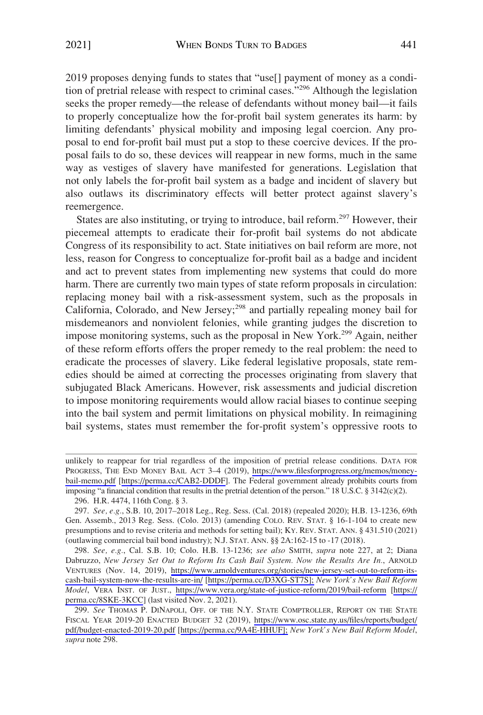2019 proposes denying funds to states that "use[] payment of money as a condition of pretrial release with respect to criminal cases."296 Although the legislation seeks the proper remedy—the release of defendants without money bail—it fails to properly conceptualize how the for-profit bail system generates its harm: by limiting defendants' physical mobility and imposing legal coercion. Any proposal to end for-profit bail must put a stop to these coercive devices. If the proposal fails to do so, these devices will reappear in new forms, much in the same way as vestiges of slavery have manifested for generations. Legislation that not only labels the for-profit bail system as a badge and incident of slavery but also outlaws its discriminatory effects will better protect against slavery's reemergence.

States are also instituting, or trying to introduce, bail reform.<sup>297</sup> However, their piecemeal attempts to eradicate their for-profit bail systems do not abdicate Congress of its responsibility to act. State initiatives on bail reform are more, not less, reason for Congress to conceptualize for-profit bail as a badge and incident and act to prevent states from implementing new systems that could do more harm. There are currently two main types of state reform proposals in circulation: replacing money bail with a risk-assessment system, such as the proposals in California, Colorado, and New Jersey;<sup>298</sup> and partially repealing money bail for misdemeanors and nonviolent felonies, while granting judges the discretion to impose monitoring systems, such as the proposal in New York.<sup>299</sup> Again, neither of these reform efforts offers the proper remedy to the real problem: the need to eradicate the processes of slavery. Like federal legislative proposals, state remedies should be aimed at correcting the processes originating from slavery that subjugated Black Americans. However, risk assessments and judicial discretion to impose monitoring requirements would allow racial biases to continue seeping into the bail system and permit limitations on physical mobility. In reimagining bail systems, states must remember the for-profit system's oppressive roots to

PROGRESS, THE END MONEY BAIL ACT 3-4 (2019), [https://www.filesforprogress.org/memos/money](https://www.filesforprogress.org/memos/money-bail-memo.pdf)[bail-memo.pdf](https://www.filesforprogress.org/memos/money-bail-memo.pdf) [\[https://perma.cc/CAB2-DDDF\]](https://perma.cc/CAB2-DDDF). The Federal government already prohibits courts from imposing "a financial condition that results in the pretrial detention of the person." 18 U.S.C. § 3142(c)(2). unlikely to reappear for trial regardless of the imposition of pretrial release conditions. DATA FOR

<sup>296.</sup> H.R. 4474, 116th Cong. § 3.

<sup>297.</sup> *See, e.g.*, S.B. 10, 2017–2018 Leg., Reg. Sess. (Cal. 2018) (repealed 2020); H.B. 13-1236, 69th Gen. Assemb., 2013 Reg. Sess. (Colo. 2013) (amending COLO. REV. STAT. § 16-1-104 to create new presumptions and to revise criteria and methods for setting bail); KY. REV. STAT. ANN. § 431.510 (2021) (outlawing commercial bail bond industry); N.J. STAT. ANN. §§ 2A:162-15 to -17 (2018).

*See, e.g.*, Cal. S.B. 10; Colo. H.B. 13-1236; *see also* SMITH, *supra* note 227, at 2; Diana 298. Dabruzzo, *New Jersey Set Out to Reform Its Cash Bail System. Now the Results Are In.*, ARNOLD VENTURES (Nov. 14, 2019), [https://www.arnoldventures.org/stories/new-jersey-set-out-to-reform-its](https://www.arnoldventures.org/stories/new-jersey-set-out-to-reform-its-cash-bail-system-now-the-results-are-in/)[cash-bail-system-now-the-results-are-in/](https://www.arnoldventures.org/stories/new-jersey-set-out-to-reform-its-cash-bail-system-now-the-results-are-in/) [\[https://perma.cc/D3XG-ST7S\];](https://perma.cc/D3XG-ST7S];) *New York's New Bail Reform Model*, VERA INST. OF JUST., <https://www.vera.org/state-of-justice-reform/2019/bail-reform>[\[https://](https://perma.cc/8SKE-3KCC)  [perma.cc/8SKE-3KCC](https://perma.cc/8SKE-3KCC)] (last visited Nov. 2, 2021).

*See* THOMAS P. DINAPOLI, OFF. OF THE N.Y. STATE COMPTROLLER, REPORT ON THE STATE 299. FISCAL YEAR 2019-20 ENACTED BUDGET 32 (2019), [https://www.osc.state.ny.us/files/reports/budget/](https://www.osc.state.ny.us/files/reports/budget/pdf/budget-enacted-2019-20.pdf)  [pdf/budget-enacted-2019-20.pdf](https://www.osc.state.ny.us/files/reports/budget/pdf/budget-enacted-2019-20.pdf) [[https://perma.cc/9A4E-HHUF\];](https://perma.cc/9A4E-HHUF];) *New York's New Bail Reform Model*, *supra* note 298.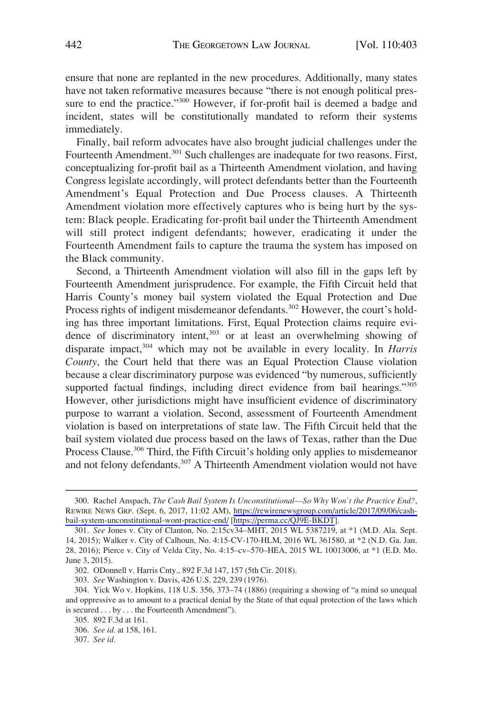ensure that none are replanted in the new procedures. Additionally, many states have not taken reformative measures because "there is not enough political pressure to end the practice."300 However, if for-profit bail is deemed a badge and incident, states will be constitutionally mandated to reform their systems immediately.

Finally, bail reform advocates have also brought judicial challenges under the Fourteenth Amendment.<sup>301</sup> Such challenges are inadequate for two reasons. First, conceptualizing for-profit bail as a Thirteenth Amendment violation, and having Congress legislate accordingly, will protect defendants better than the Fourteenth Amendment's Equal Protection and Due Process clauses. A Thirteenth Amendment violation more effectively captures who is being hurt by the system: Black people. Eradicating for-profit bail under the Thirteenth Amendment will still protect indigent defendants; however, eradicating it under the Fourteenth Amendment fails to capture the trauma the system has imposed on the Black community.

Second, a Thirteenth Amendment violation will also fill in the gaps left by Fourteenth Amendment jurisprudence. For example, the Fifth Circuit held that Harris County's money bail system violated the Equal Protection and Due Process rights of indigent misdemeanor defendants.<sup>302</sup> However, the court's holding has three important limitations. First, Equal Protection claims require evidence of discriminatory intent,<sup>303</sup> or at least an overwhelming showing of disparate impact,304 which may not be available in every locality. In *Harris County*, the Court held that there was an Equal Protection Clause violation because a clear discriminatory purpose was evidenced "by numerous, sufficiently supported factual findings, including direct evidence from bail hearings."<sup>305</sup> However, other jurisdictions might have insufficient evidence of discriminatory purpose to warrant a violation. Second, assessment of Fourteenth Amendment violation is based on interpretations of state law. The Fifth Circuit held that the bail system violated due process based on the laws of Texas, rather than the Due Process Clause.<sup>306</sup> Third, the Fifth Circuit's holding only applies to misdemeanor and not felony defendants.<sup>307</sup> A Thirteenth Amendment violation would not have

303. *See* Washington v. Davis, 426 U.S. 229, 239 (1976).

307. *See id.* 

<sup>300.</sup> Rachel Anspach, *The Cash Bail System Is Unconstitutional—So Why Won't the Practice End?*, REWIRE NEWS GRP. (Sept. 6, 2017, 11:02 AM), [https://rewirenewsgroup.com/article/2017/09/06/cash](https://rewirenewsgroup.com/article/2017/09/06/cash-bail-system-unconstitutional-wont-practice-end/)[bail-system-unconstitutional-wont-practice-end/](https://rewirenewsgroup.com/article/2017/09/06/cash-bail-system-unconstitutional-wont-practice-end/) [\[https://perma.cc/QJ9E-BKDT\]](https://perma.cc/QJ9E-BKDT).

<sup>301.</sup> *See* Jones v. City of Clanton, No. 2:15cv34–MHT, 2015 WL 5387219, at \*1 (M.D. Ala. Sept. 14, 2015); Walker v. City of Calhoun, No. 4:15-CV-170-HLM, 2016 WL 361580, at \*2 (N.D. Ga. Jan. 28, 2016); Pierce v. City of Velda City, No. 4:15–cv–570–HEA, 2015 WL 10013006, at \*1 (E.D. Mo. June 3, 2015).

<sup>302.</sup> ODonnell v. Harris Cnty., 892 F.3d 147, 157 (5th Cir. 2018).

<sup>304.</sup> Yick Wo v. Hopkins, 118 U.S. 356, 373–74 (1886) (requiring a showing of "a mind so unequal and oppressive as to amount to a practical denial by the State of that equal protection of the laws which is secured . . . by . . . the Fourteenth Amendment").

<sup>305. 892</sup> F.3d at 161.

<sup>306.</sup> *See id.* at 158, 161.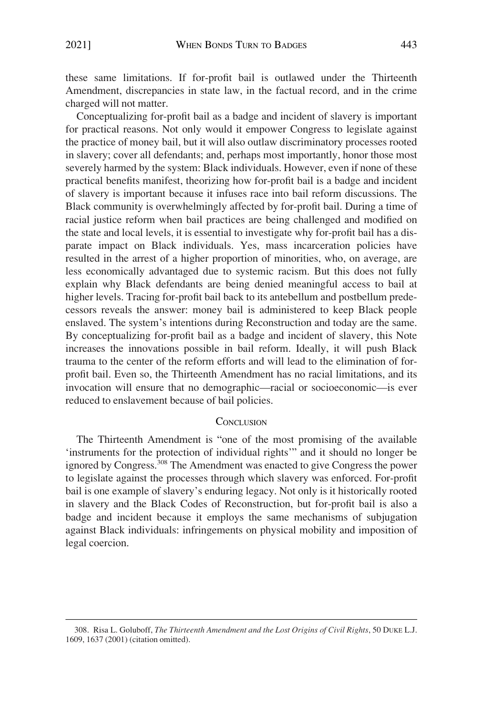<span id="page-40-0"></span>these same limitations. If for-profit bail is outlawed under the Thirteenth Amendment, discrepancies in state law, in the factual record, and in the crime charged will not matter.

Conceptualizing for-profit bail as a badge and incident of slavery is important for practical reasons. Not only would it empower Congress to legislate against the practice of money bail, but it will also outlaw discriminatory processes rooted in slavery; cover all defendants; and, perhaps most importantly, honor those most severely harmed by the system: Black individuals. However, even if none of these practical benefits manifest, theorizing how for-profit bail is a badge and incident of slavery is important because it infuses race into bail reform discussions. The Black community is overwhelmingly affected by for-profit bail. During a time of racial justice reform when bail practices are being challenged and modified on the state and local levels, it is essential to investigate why for-profit bail has a disparate impact on Black individuals. Yes, mass incarceration policies have resulted in the arrest of a higher proportion of minorities, who, on average, are less economically advantaged due to systemic racism. But this does not fully explain why Black defendants are being denied meaningful access to bail at higher levels. Tracing for-profit bail back to its antebellum and postbellum predecessors reveals the answer: money bail is administered to keep Black people enslaved. The system's intentions during Reconstruction and today are the same. By conceptualizing for-profit bail as a badge and incident of slavery, this Note increases the innovations possible in bail reform. Ideally, it will push Black trauma to the center of the reform efforts and will lead to the elimination of forprofit bail. Even so, the Thirteenth Amendment has no racial limitations, and its invocation will ensure that no demographic—racial or socioeconomic—is ever reduced to enslavement because of bail policies.

#### **CONCLUSION**

The Thirteenth Amendment is "one of the most promising of the available 'instruments for the protection of individual rights'" and it should no longer be ignored by Congress.<sup>308</sup> The Amendment was enacted to give Congress the power to legislate against the processes through which slavery was enforced. For-profit bail is one example of slavery's enduring legacy. Not only is it historically rooted in slavery and the Black Codes of Reconstruction, but for-profit bail is also a badge and incident because it employs the same mechanisms of subjugation against Black individuals: infringements on physical mobility and imposition of legal coercion.

<sup>308.</sup> Risa L. Goluboff, *The Thirteenth Amendment and the Lost Origins of Civil Rights*, 50 DUKE L.J. 1609, 1637 (2001) (citation omitted).